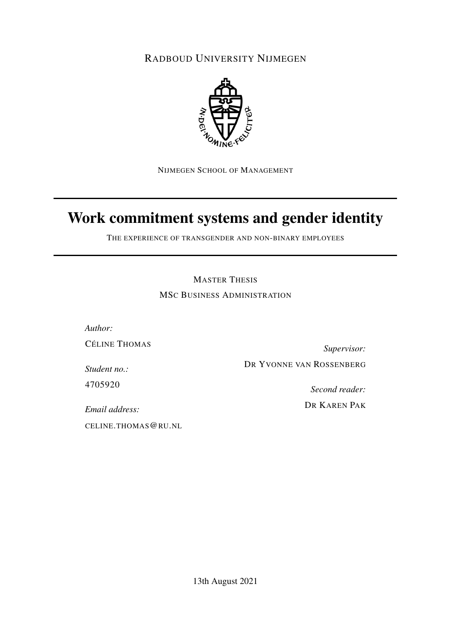RADBOUD UNIVERSITY NIJMEGEN



NIJMEGEN SCHOOL OF MANAGEMENT

# Work commitment systems and gender identity

THE EXPERIENCE OF TRANSGENDER AND NON-BINARY EMPLOYEES

MASTER THESIS MSC BUSINESS ADMINISTRATION

*Author:* CÉLINE THOMAS

*Supervisor:* DR YVONNE VAN ROSSENBERG

*Student no.:* 4705920

*Second reader:*

DR KAREN PAK

*Email address:* CELINE.THOMAS@RU.NL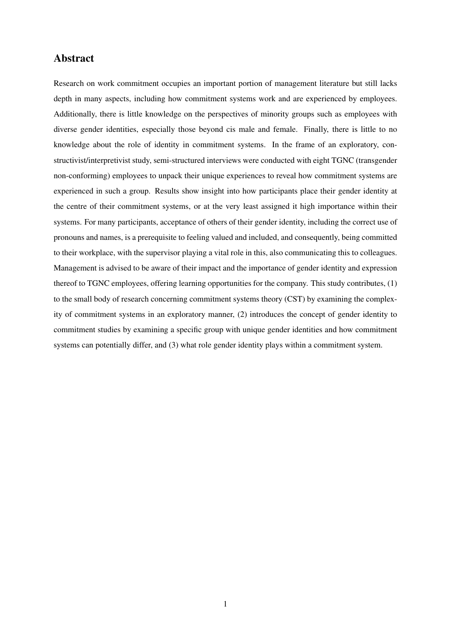## Abstract

Research on work commitment occupies an important portion of management literature but still lacks depth in many aspects, including how commitment systems work and are experienced by employees. Additionally, there is little knowledge on the perspectives of minority groups such as employees with diverse gender identities, especially those beyond cis male and female. Finally, there is little to no knowledge about the role of identity in commitment systems. In the frame of an exploratory, constructivist/interpretivist study, semi-structured interviews were conducted with eight TGNC (transgender non-conforming) employees to unpack their unique experiences to reveal how commitment systems are experienced in such a group. Results show insight into how participants place their gender identity at the centre of their commitment systems, or at the very least assigned it high importance within their systems. For many participants, acceptance of others of their gender identity, including the correct use of pronouns and names, is a prerequisite to feeling valued and included, and consequently, being committed to their workplace, with the supervisor playing a vital role in this, also communicating this to colleagues. Management is advised to be aware of their impact and the importance of gender identity and expression thereof to TGNC employees, offering learning opportunities for the company. This study contributes, (1) to the small body of research concerning commitment systems theory (CST) by examining the complexity of commitment systems in an exploratory manner, (2) introduces the concept of gender identity to commitment studies by examining a specific group with unique gender identities and how commitment systems can potentially differ, and (3) what role gender identity plays within a commitment system.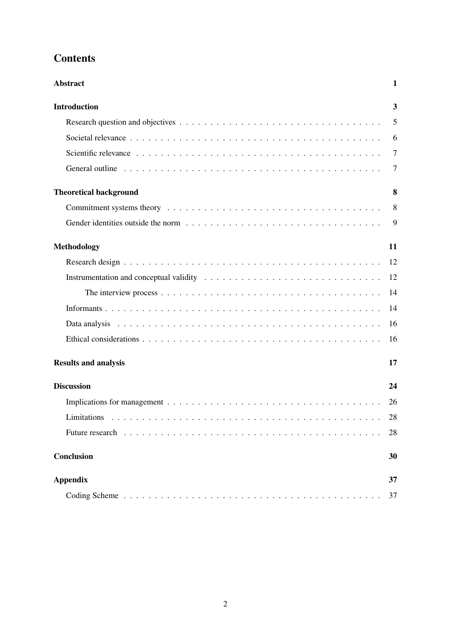# **Contents**

| <b>Abstract</b>               | $\mathbf{1}$            |
|-------------------------------|-------------------------|
| <b>Introduction</b>           | $\overline{\mathbf{3}}$ |
|                               | 5                       |
|                               | 6                       |
|                               | $\overline{7}$          |
|                               | 7                       |
| <b>Theoretical background</b> | 8                       |
|                               | 8                       |
|                               | 9                       |
| <b>Methodology</b>            | 11                      |
|                               |                         |
|                               | 12                      |
|                               | 14                      |
|                               | 14                      |
|                               | 16                      |
|                               | 16                      |
| <b>Results and analysis</b>   | 17                      |
| <b>Discussion</b>             | 24                      |
|                               | 26                      |
|                               | 28                      |
|                               | 28                      |
| <b>Conclusion</b>             | 30                      |
| <b>Appendix</b>               | 37                      |
|                               | 37                      |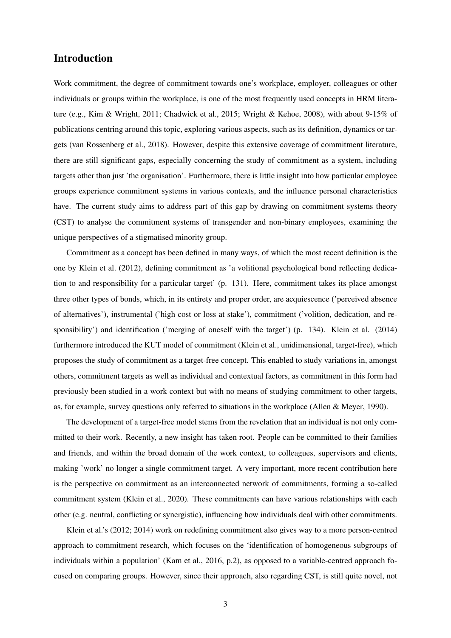## Introduction

Work commitment, the degree of commitment towards one's workplace, employer, colleagues or other individuals or groups within the workplace, is one of the most frequently used concepts in HRM literature (e.g., Kim & Wright, 2011; Chadwick et al., 2015; Wright & Kehoe, 2008), with about 9-15% of publications centring around this topic, exploring various aspects, such as its definition, dynamics or targets (van Rossenberg et al., 2018). However, despite this extensive coverage of commitment literature, there are still significant gaps, especially concerning the study of commitment as a system, including targets other than just 'the organisation'. Furthermore, there is little insight into how particular employee groups experience commitment systems in various contexts, and the influence personal characteristics have. The current study aims to address part of this gap by drawing on commitment systems theory (CST) to analyse the commitment systems of transgender and non-binary employees, examining the unique perspectives of a stigmatised minority group.

Commitment as a concept has been defined in many ways, of which the most recent definition is the one by Klein et al. (2012), defining commitment as 'a volitional psychological bond reflecting dedication to and responsibility for a particular target' (p. 131). Here, commitment takes its place amongst three other types of bonds, which, in its entirety and proper order, are acquiescence ('perceived absence of alternatives'), instrumental ('high cost or loss at stake'), commitment ('volition, dedication, and responsibility') and identification ('merging of oneself with the target') (p. 134). Klein et al. (2014) furthermore introduced the KUT model of commitment (Klein et al., unidimensional, target-free), which proposes the study of commitment as a target-free concept. This enabled to study variations in, amongst others, commitment targets as well as individual and contextual factors, as commitment in this form had previously been studied in a work context but with no means of studying commitment to other targets, as, for example, survey questions only referred to situations in the workplace (Allen & Meyer, 1990).

The development of a target-free model stems from the revelation that an individual is not only committed to their work. Recently, a new insight has taken root. People can be committed to their families and friends, and within the broad domain of the work context, to colleagues, supervisors and clients, making 'work' no longer a single commitment target. A very important, more recent contribution here is the perspective on commitment as an interconnected network of commitments, forming a so-called commitment system (Klein et al., 2020). These commitments can have various relationships with each other (e.g. neutral, conflicting or synergistic), influencing how individuals deal with other commitments.

Klein et al.'s (2012; 2014) work on redefining commitment also gives way to a more person-centred approach to commitment research, which focuses on the 'identification of homogeneous subgroups of individuals within a population' (Kam et al., 2016, p.2), as opposed to a variable-centred approach focused on comparing groups. However, since their approach, also regarding CST, is still quite novel, not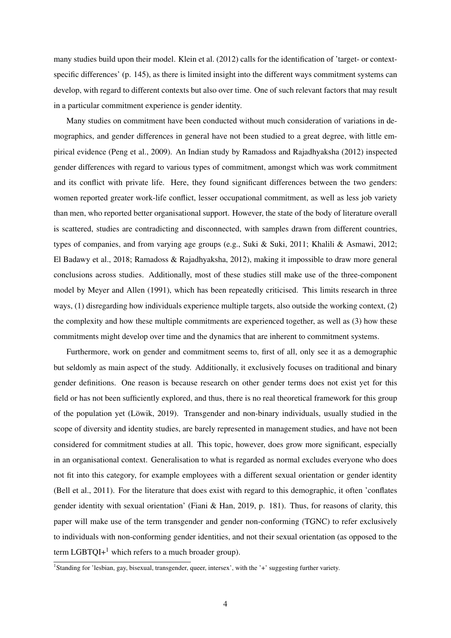many studies build upon their model. Klein et al. (2012) calls for the identification of 'target- or contextspecific differences' (p. 145), as there is limited insight into the different ways commitment systems can develop, with regard to different contexts but also over time. One of such relevant factors that may result in a particular commitment experience is gender identity.

Many studies on commitment have been conducted without much consideration of variations in demographics, and gender differences in general have not been studied to a great degree, with little empirical evidence (Peng et al., 2009). An Indian study by Ramadoss and Rajadhyaksha (2012) inspected gender differences with regard to various types of commitment, amongst which was work commitment and its conflict with private life. Here, they found significant differences between the two genders: women reported greater work-life conflict, lesser occupational commitment, as well as less job variety than men, who reported better organisational support. However, the state of the body of literature overall is scattered, studies are contradicting and disconnected, with samples drawn from different countries, types of companies, and from varying age groups (e.g., Suki & Suki, 2011; Khalili & Asmawi, 2012; El Badawy et al., 2018; Ramadoss & Rajadhyaksha, 2012), making it impossible to draw more general conclusions across studies. Additionally, most of these studies still make use of the three-component model by Meyer and Allen (1991), which has been repeatedly criticised. This limits research in three ways, (1) disregarding how individuals experience multiple targets, also outside the working context, (2) the complexity and how these multiple commitments are experienced together, as well as (3) how these commitments might develop over time and the dynamics that are inherent to commitment systems.

Furthermore, work on gender and commitment seems to, first of all, only see it as a demographic but seldomly as main aspect of the study. Additionally, it exclusively focuses on traditional and binary gender definitions. One reason is because research on other gender terms does not exist yet for this field or has not been sufficiently explored, and thus, there is no real theoretical framework for this group of the population yet (Löwik, 2019). Transgender and non-binary individuals, usually studied in the scope of diversity and identity studies, are barely represented in management studies, and have not been considered for commitment studies at all. This topic, however, does grow more significant, especially in an organisational context. Generalisation to what is regarded as normal excludes everyone who does not fit into this category, for example employees with a different sexual orientation or gender identity (Bell et al., 2011). For the literature that does exist with regard to this demographic, it often 'conflates gender identity with sexual orientation' (Fiani & Han, 2019, p. 181). Thus, for reasons of clarity, this paper will make use of the term transgender and gender non-conforming (TGNC) to refer exclusively to individuals with non-conforming gender identities, and not their sexual orientation (as opposed to the term LGBTQI+<sup>1</sup> which refers to a much broader group).

<sup>&</sup>lt;sup>1</sup>Standing for 'lesbian, gay, bisexual, transgender, queer, intersex', with the '+' suggesting further variety.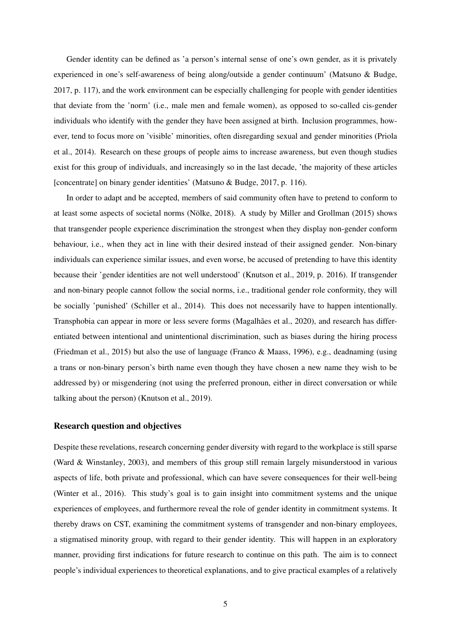Gender identity can be defined as 'a person's internal sense of one's own gender, as it is privately experienced in one's self-awareness of being along/outside a gender continuum' (Matsuno & Budge, 2017, p. 117), and the work environment can be especially challenging for people with gender identities that deviate from the 'norm' (i.e., male men and female women), as opposed to so-called cis-gender individuals who identify with the gender they have been assigned at birth. Inclusion programmes, however, tend to focus more on 'visible' minorities, often disregarding sexual and gender minorities (Priola et al., 2014). Research on these groups of people aims to increase awareness, but even though studies exist for this group of individuals, and increasingly so in the last decade, 'the majority of these articles [concentrate] on binary gender identities' (Matsuno & Budge, 2017, p. 116).

In order to adapt and be accepted, members of said community often have to pretend to conform to at least some aspects of societal norms (Nölke, 2018). A study by Miller and Grollman (2015) shows that transgender people experience discrimination the strongest when they display non-gender conform behaviour, i.e., when they act in line with their desired instead of their assigned gender. Non-binary individuals can experience similar issues, and even worse, be accused of pretending to have this identity because their 'gender identities are not well understood' (Knutson et al., 2019, p. 2016). If transgender and non-binary people cannot follow the social norms, i.e., traditional gender role conformity, they will be socially 'punished' (Schiller et al., 2014). This does not necessarily have to happen intentionally. Transphobia can appear in more or less severe forms (Magalhães et al., 2020), and research has differentiated between intentional and unintentional discrimination, such as biases during the hiring process (Friedman et al., 2015) but also the use of language (Franco & Maass, 1996), e.g., deadnaming (using a trans or non-binary person's birth name even though they have chosen a new name they wish to be addressed by) or misgendering (not using the preferred pronoun, either in direct conversation or while talking about the person) (Knutson et al., 2019).

#### Research question and objectives

Despite these revelations, research concerning gender diversity with regard to the workplace is still sparse (Ward & Winstanley, 2003), and members of this group still remain largely misunderstood in various aspects of life, both private and professional, which can have severe consequences for their well-being (Winter et al., 2016). This study's goal is to gain insight into commitment systems and the unique experiences of employees, and furthermore reveal the role of gender identity in commitment systems. It thereby draws on CST, examining the commitment systems of transgender and non-binary employees, a stigmatised minority group, with regard to their gender identity. This will happen in an exploratory manner, providing first indications for future research to continue on this path. The aim is to connect people's individual experiences to theoretical explanations, and to give practical examples of a relatively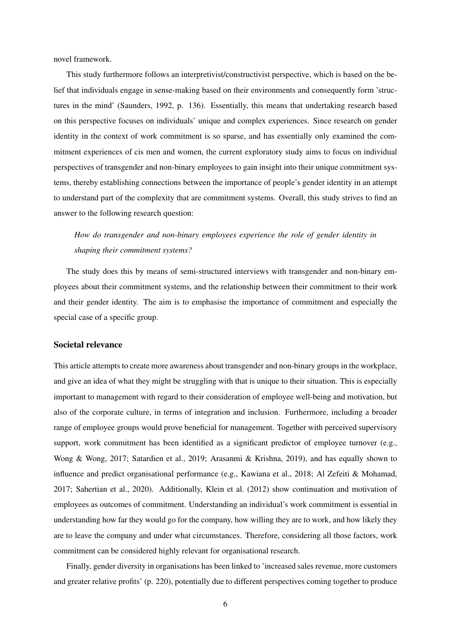novel framework.

This study furthermore follows an interpretivist/constructivist perspective, which is based on the belief that individuals engage in sense-making based on their environments and consequently form 'structures in the mind' (Saunders, 1992, p. 136). Essentially, this means that undertaking research based on this perspective focuses on individuals' unique and complex experiences. Since research on gender identity in the context of work commitment is so sparse, and has essentially only examined the commitment experiences of cis men and women, the current exploratory study aims to focus on individual perspectives of transgender and non-binary employees to gain insight into their unique commitment systems, thereby establishing connections between the importance of people's gender identity in an attempt to understand part of the complexity that are commitment systems. Overall, this study strives to find an answer to the following research question:

## *How do transgender and non-binary employees experience the role of gender identity in shaping their commitment systems?*

The study does this by means of semi-structured interviews with transgender and non-binary employees about their commitment systems, and the relationship between their commitment to their work and their gender identity. The aim is to emphasise the importance of commitment and especially the special case of a specific group.

#### Societal relevance

This article attempts to create more awareness about transgender and non-binary groups in the workplace, and give an idea of what they might be struggling with that is unique to their situation. This is especially important to management with regard to their consideration of employee well-being and motivation, but also of the corporate culture, in terms of integration and inclusion. Furthermore, including a broader range of employee groups would prove beneficial for management. Together with perceived supervisory support, work commitment has been identified as a significant predictor of employee turnover (e.g., Wong & Wong, 2017; Satardien et al., 2019; Arasanmi & Krishna, 2019), and has equally shown to influence and predict organisational performance (e.g., Kawiana et al., 2018; Al Zefeiti & Mohamad, 2017; Sahertian et al., 2020). Additionally, Klein et al. (2012) show continuation and motivation of employees as outcomes of commitment. Understanding an individual's work commitment is essential in understanding how far they would go for the company, how willing they are to work, and how likely they are to leave the company and under what circumstances. Therefore, considering all those factors, work commitment can be considered highly relevant for organisational research.

Finally, gender diversity in organisations has been linked to 'increased sales revenue, more customers and greater relative profits' (p. 220), potentially due to different perspectives coming together to produce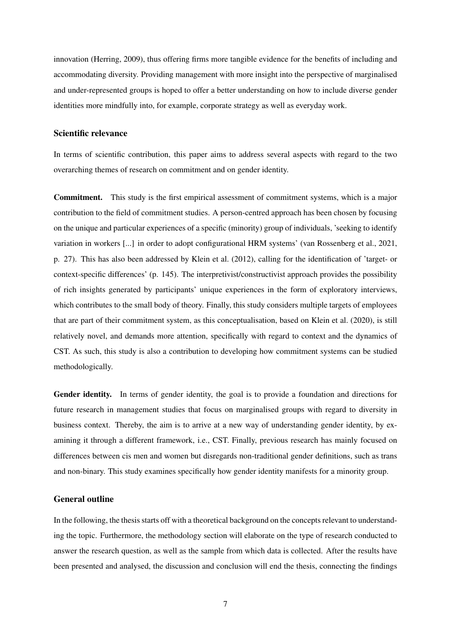innovation (Herring, 2009), thus offering firms more tangible evidence for the benefits of including and accommodating diversity. Providing management with more insight into the perspective of marginalised and under-represented groups is hoped to offer a better understanding on how to include diverse gender identities more mindfully into, for example, corporate strategy as well as everyday work.

#### Scientific relevance

In terms of scientific contribution, this paper aims to address several aspects with regard to the two overarching themes of research on commitment and on gender identity.

Commitment. This study is the first empirical assessment of commitment systems, which is a major contribution to the field of commitment studies. A person-centred approach has been chosen by focusing on the unique and particular experiences of a specific (minority) group of individuals, 'seeking to identify variation in workers [...] in order to adopt configurational HRM systems' (van Rossenberg et al., 2021, p. 27). This has also been addressed by Klein et al. (2012), calling for the identification of 'target- or context-specific differences' (p. 145). The interpretivist/constructivist approach provides the possibility of rich insights generated by participants' unique experiences in the form of exploratory interviews, which contributes to the small body of theory. Finally, this study considers multiple targets of employees that are part of their commitment system, as this conceptualisation, based on Klein et al. (2020), is still relatively novel, and demands more attention, specifically with regard to context and the dynamics of CST. As such, this study is also a contribution to developing how commitment systems can be studied methodologically.

Gender identity. In terms of gender identity, the goal is to provide a foundation and directions for future research in management studies that focus on marginalised groups with regard to diversity in business context. Thereby, the aim is to arrive at a new way of understanding gender identity, by examining it through a different framework, i.e., CST. Finally, previous research has mainly focused on differences between cis men and women but disregards non-traditional gender definitions, such as trans and non-binary. This study examines specifically how gender identity manifests for a minority group.

#### General outline

In the following, the thesis starts off with a theoretical background on the concepts relevant to understanding the topic. Furthermore, the methodology section will elaborate on the type of research conducted to answer the research question, as well as the sample from which data is collected. After the results have been presented and analysed, the discussion and conclusion will end the thesis, connecting the findings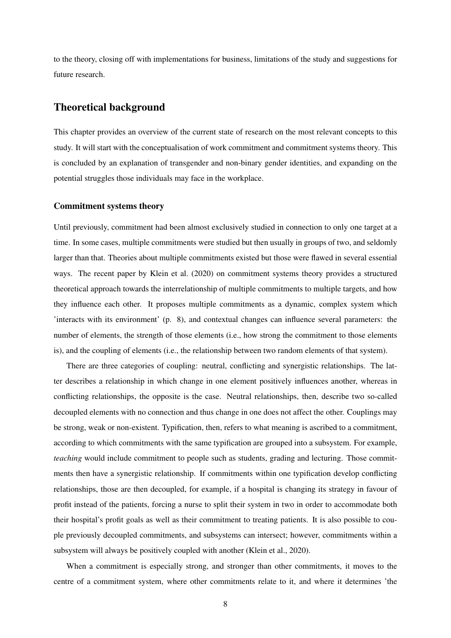to the theory, closing off with implementations for business, limitations of the study and suggestions for future research.

## Theoretical background

This chapter provides an overview of the current state of research on the most relevant concepts to this study. It will start with the conceptualisation of work commitment and commitment systems theory. This is concluded by an explanation of transgender and non-binary gender identities, and expanding on the potential struggles those individuals may face in the workplace.

#### Commitment systems theory

Until previously, commitment had been almost exclusively studied in connection to only one target at a time. In some cases, multiple commitments were studied but then usually in groups of two, and seldomly larger than that. Theories about multiple commitments existed but those were flawed in several essential ways. The recent paper by Klein et al. (2020) on commitment systems theory provides a structured theoretical approach towards the interrelationship of multiple commitments to multiple targets, and how they influence each other. It proposes multiple commitments as a dynamic, complex system which 'interacts with its environment' (p. 8), and contextual changes can influence several parameters: the number of elements, the strength of those elements (i.e., how strong the commitment to those elements is), and the coupling of elements (i.e., the relationship between two random elements of that system).

There are three categories of coupling: neutral, conflicting and synergistic relationships. The latter describes a relationship in which change in one element positively influences another, whereas in conflicting relationships, the opposite is the case. Neutral relationships, then, describe two so-called decoupled elements with no connection and thus change in one does not affect the other. Couplings may be strong, weak or non-existent. Typification, then, refers to what meaning is ascribed to a commitment, according to which commitments with the same typification are grouped into a subsystem. For example, *teaching* would include commitment to people such as students, grading and lecturing. Those commitments then have a synergistic relationship. If commitments within one typification develop conflicting relationships, those are then decoupled, for example, if a hospital is changing its strategy in favour of profit instead of the patients, forcing a nurse to split their system in two in order to accommodate both their hospital's profit goals as well as their commitment to treating patients. It is also possible to couple previously decoupled commitments, and subsystems can intersect; however, commitments within a subsystem will always be positively coupled with another (Klein et al., 2020).

When a commitment is especially strong, and stronger than other commitments, it moves to the centre of a commitment system, where other commitments relate to it, and where it determines 'the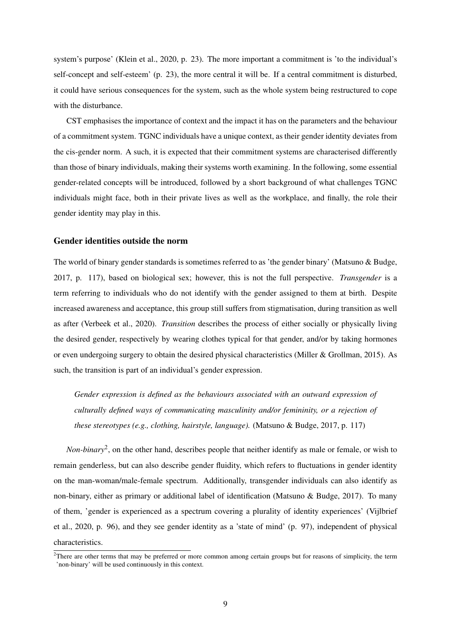system's purpose' (Klein et al., 2020, p. 23). The more important a commitment is 'to the individual's self-concept and self-esteem' (p. 23), the more central it will be. If a central commitment is disturbed, it could have serious consequences for the system, such as the whole system being restructured to cope with the disturbance.

CST emphasises the importance of context and the impact it has on the parameters and the behaviour of a commitment system. TGNC individuals have a unique context, as their gender identity deviates from the cis-gender norm. A such, it is expected that their commitment systems are characterised differently than those of binary individuals, making their systems worth examining. In the following, some essential gender-related concepts will be introduced, followed by a short background of what challenges TGNC individuals might face, both in their private lives as well as the workplace, and finally, the role their gender identity may play in this.

#### Gender identities outside the norm

The world of binary gender standards is sometimes referred to as 'the gender binary' (Matsuno & Budge, 2017, p. 117), based on biological sex; however, this is not the full perspective. *Transgender* is a term referring to individuals who do not identify with the gender assigned to them at birth. Despite increased awareness and acceptance, this group still suffers from stigmatisation, during transition as well as after (Verbeek et al., 2020). *Transition* describes the process of either socially or physically living the desired gender, respectively by wearing clothes typical for that gender, and/or by taking hormones or even undergoing surgery to obtain the desired physical characteristics (Miller & Grollman, 2015). As such, the transition is part of an individual's gender expression.

*Gender expression is defined as the behaviours associated with an outward expression of culturally defined ways of communicating masculinity and/or femininity, or a rejection of these stereotypes (e.g., clothing, hairstyle, language).* (Matsuno & Budge, 2017, p. 117)

*Non-binary*<sup>2</sup> , on the other hand, describes people that neither identify as male or female, or wish to remain genderless, but can also describe gender fluidity, which refers to fluctuations in gender identity on the man-woman/male-female spectrum. Additionally, transgender individuals can also identify as non-binary, either as primary or additional label of identification (Matsuno & Budge, 2017). To many of them, 'gender is experienced as a spectrum covering a plurality of identity experiences' (Vijlbrief et al., 2020, p. 96), and they see gender identity as a 'state of mind' (p. 97), independent of physical characteristics.

 $2$ There are other terms that may be preferred or more common among certain groups but for reasons of simplicity, the term 'non-binary' will be used continuously in this context.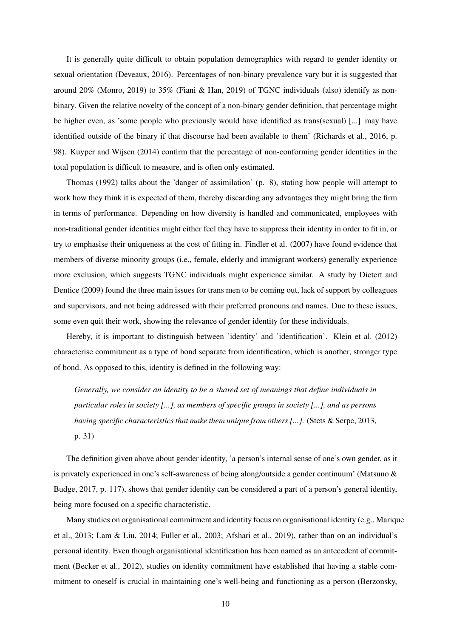It is generally quite difficult to obtain population demographics with regard to gender identity or sexual orientation (Deveaux, 2016). Percentages of non-binary prevalence vary but it is suggested that around 20% (Monro, 2019) to 35% (Fiani & Han, 2019) of TGNC individuals (also) identify as nonbinary. Given the relative novelty of the concept of a non-binary gender definition, that percentage might be higher even, as 'some people who previously would have identified as trans(sexual) [...] may have identified outside of the binary if that discourse had been available to them' (Richards et al., 2016, p. 98). Kuyper and Wijsen (2014) confirm that the percentage of non-conforming gender identities in the total population is difficult to measure, and is often only estimated.

Thomas (1992) talks about the 'danger of assimilation' (p. 8), stating how people will attempt to work how they think it is expected of them, thereby discarding any advantages they might bring the firm in terms of performance. Depending on how diversity is handled and communicated, employees with non-traditional gender identities might either feel they have to suppress their identity in order to fit in, or try to emphasise their uniqueness at the cost of fitting in. Findler et al. (2007) have found evidence that members of diverse minority groups (i.e., female, elderly and immigrant workers) generally experience more exclusion, which suggests TGNC individuals might experience similar. A study by Dietert and Dentice (2009) found the three main issues for trans men to be coming out, lack of support by colleagues and supervisors, and not being addressed with their preferred pronouns and names. Due to these issues, some even quit their work, showing the relevance of gender identity for these individuals.

Hereby, it is important to distinguish between 'identity' and 'identification'. Klein et al. (2012) characterise commitment as a type of bond separate from identification, which is another, stronger type of bond. As opposed to this, identity is defined in the following way:

*Generally, we consider an identity to be a shared set of meanings that define individuals in particular roles in society [...], as members of specific groups in society [...], and as persons having specific characteristics that make them unique from others [...].* (Stets & Serpe, 2013, p. 31)

The definition given above about gender identity, 'a person's internal sense of one's own gender, as it is privately experienced in one's self-awareness of being along/outside a gender continuum' (Matsuno & Budge, 2017, p. 117), shows that gender identity can be considered a part of a person's general identity, being more focused on a specific characteristic.

Many studies on organisational commitment and identity focus on organisational identity (e.g., Marique et al., 2013; Lam & Liu, 2014; Fuller et al., 2003; Afshari et al., 2019), rather than on an individual's personal identity. Even though organisational identification has been named as an antecedent of commitment (Becker et al., 2012), studies on identity commitment have established that having a stable commitment to oneself is crucial in maintaining one's well-being and functioning as a person (Berzonsky,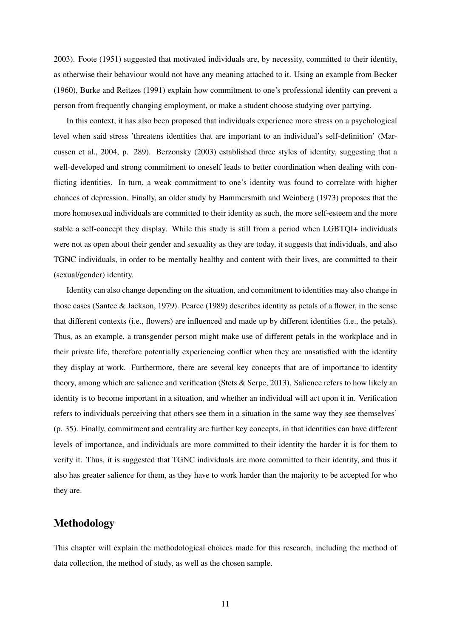2003). Foote (1951) suggested that motivated individuals are, by necessity, committed to their identity, as otherwise their behaviour would not have any meaning attached to it. Using an example from Becker (1960), Burke and Reitzes (1991) explain how commitment to one's professional identity can prevent a person from frequently changing employment, or make a student choose studying over partying.

In this context, it has also been proposed that individuals experience more stress on a psychological level when said stress 'threatens identities that are important to an individual's self-definition' (Marcussen et al., 2004, p. 289). Berzonsky (2003) established three styles of identity, suggesting that a well-developed and strong commitment to oneself leads to better coordination when dealing with conflicting identities. In turn, a weak commitment to one's identity was found to correlate with higher chances of depression. Finally, an older study by Hammersmith and Weinberg (1973) proposes that the more homosexual individuals are committed to their identity as such, the more self-esteem and the more stable a self-concept they display. While this study is still from a period when LGBTQI+ individuals were not as open about their gender and sexuality as they are today, it suggests that individuals, and also TGNC individuals, in order to be mentally healthy and content with their lives, are committed to their (sexual/gender) identity.

Identity can also change depending on the situation, and commitment to identities may also change in those cases (Santee & Jackson, 1979). Pearce (1989) describes identity as petals of a flower, in the sense that different contexts (i.e., flowers) are influenced and made up by different identities (i.e., the petals). Thus, as an example, a transgender person might make use of different petals in the workplace and in their private life, therefore potentially experiencing conflict when they are unsatisfied with the identity they display at work. Furthermore, there are several key concepts that are of importance to identity theory, among which are salience and verification (Stets & Serpe, 2013). Salience refers to how likely an identity is to become important in a situation, and whether an individual will act upon it in. Verification refers to individuals perceiving that others see them in a situation in the same way they see themselves' (p. 35). Finally, commitment and centrality are further key concepts, in that identities can have different levels of importance, and individuals are more committed to their identity the harder it is for them to verify it. Thus, it is suggested that TGNC individuals are more committed to their identity, and thus it also has greater salience for them, as they have to work harder than the majority to be accepted for who they are.

### Methodology

This chapter will explain the methodological choices made for this research, including the method of data collection, the method of study, as well as the chosen sample.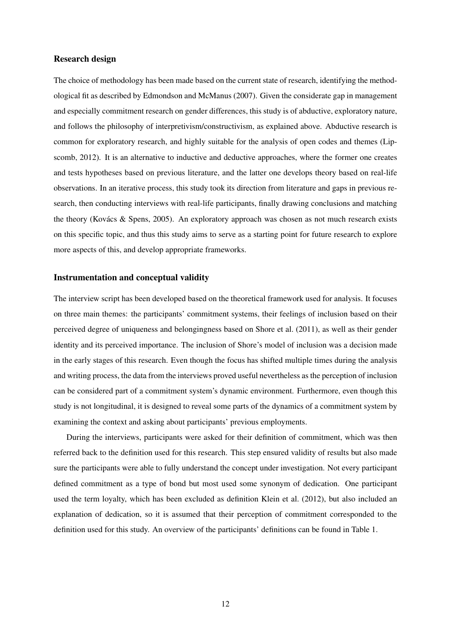#### Research design

The choice of methodology has been made based on the current state of research, identifying the methodological fit as described by Edmondson and McManus (2007). Given the considerate gap in management and especially commitment research on gender differences, this study is of abductive, exploratory nature, and follows the philosophy of interpretivism/constructivism, as explained above. Abductive research is common for exploratory research, and highly suitable for the analysis of open codes and themes (Lipscomb, 2012). It is an alternative to inductive and deductive approaches, where the former one creates and tests hypotheses based on previous literature, and the latter one develops theory based on real-life observations. In an iterative process, this study took its direction from literature and gaps in previous research, then conducting interviews with real-life participants, finally drawing conclusions and matching the theory (Kovács & Spens, 2005). An exploratory approach was chosen as not much research exists on this specific topic, and thus this study aims to serve as a starting point for future research to explore more aspects of this, and develop appropriate frameworks.

#### Instrumentation and conceptual validity

The interview script has been developed based on the theoretical framework used for analysis. It focuses on three main themes: the participants' commitment systems, their feelings of inclusion based on their perceived degree of uniqueness and belongingness based on Shore et al. (2011), as well as their gender identity and its perceived importance. The inclusion of Shore's model of inclusion was a decision made in the early stages of this research. Even though the focus has shifted multiple times during the analysis and writing process, the data from the interviews proved useful nevertheless as the perception of inclusion can be considered part of a commitment system's dynamic environment. Furthermore, even though this study is not longitudinal, it is designed to reveal some parts of the dynamics of a commitment system by examining the context and asking about participants' previous employments.

During the interviews, participants were asked for their definition of commitment, which was then referred back to the definition used for this research. This step ensured validity of results but also made sure the participants were able to fully understand the concept under investigation. Not every participant defined commitment as a type of bond but most used some synonym of dedication. One participant used the term loyalty, which has been excluded as definition Klein et al. (2012), but also included an explanation of dedication, so it is assumed that their perception of commitment corresponded to the definition used for this study. An overview of the participants' definitions can be found in Table 1.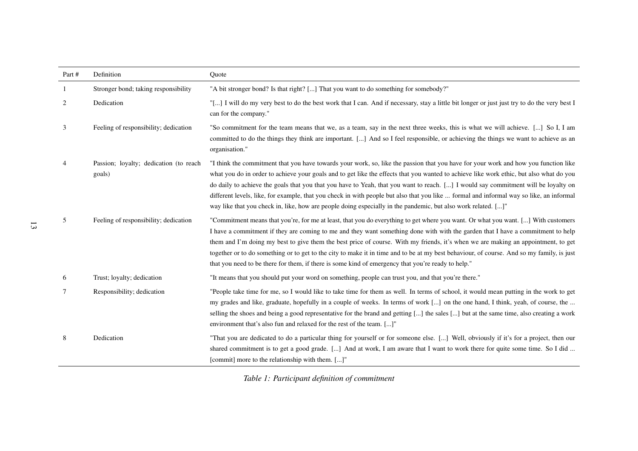| Part #         | Definition                                       | Quote                                                                                                                                                                                                                                                                                                                                                                                                                                                                                                                                                                                                                                                                            |
|----------------|--------------------------------------------------|----------------------------------------------------------------------------------------------------------------------------------------------------------------------------------------------------------------------------------------------------------------------------------------------------------------------------------------------------------------------------------------------------------------------------------------------------------------------------------------------------------------------------------------------------------------------------------------------------------------------------------------------------------------------------------|
| -1             | Stronger bond; taking responsibility             | "A bit stronger bond? Is that right? [] That you want to do something for somebody?"                                                                                                                                                                                                                                                                                                                                                                                                                                                                                                                                                                                             |
| 2              | Dedication                                       | "[] I will do my very best to do the best work that I can. And if necessary, stay a little bit longer or just just try to do the very best I<br>can for the company."                                                                                                                                                                                                                                                                                                                                                                                                                                                                                                            |
| 3              | Feeling of responsibility; dedication            | "So commitment for the team means that we, as a team, say in the next three weeks, this is what we will achieve. [] So I, I am<br>committed to do the things they think are important. [] And so I feel responsible, or achieving the things we want to achieve as an<br>organisation."                                                                                                                                                                                                                                                                                                                                                                                          |
| $\overline{4}$ | Passion; loyalty; dedication (to reach<br>goals) | "I think the commitment that you have towards your work, so, like the passion that you have for your work and how you function like<br>what you do in order to achieve your goals and to get like the effects that you wanted to achieve like work ethic, but also what do you<br>do daily to achieve the goals that you that you have to Yeah, that you want to reach. [] I would say commitment will be loyalty on<br>different levels, like, for example, that you check in with people but also that you like  formal and informal way so like, an informal<br>way like that you check in, like, how are people doing especially in the pandemic, but also work related. []" |
| 5              | Feeling of responsibility; dedication            | "Commitment means that you're, for me at least, that you do everything to get where you want. Or what you want. [] With customers<br>I have a commitment if they are coming to me and they want something done with with the garden that I have a commitment to help<br>them and I'm doing my best to give them the best price of course. With my friends, it's when we are making an appointment, to get<br>together or to do something or to get to the city to make it in time and to be at my best behaviour, of course. And so my family, is just<br>that you need to be there for them, if there is some kind of emergency that you're ready to help."                     |
| 6              | Trust; loyalty; dedication                       | "It means that you should put your word on something, people can trust you, and that you're there."                                                                                                                                                                                                                                                                                                                                                                                                                                                                                                                                                                              |
| 7              | Responsibility; dedication                       | "People take time for me, so I would like to take time for them as well. In terms of school, it would mean putting in the work to get<br>my grades and like, graduate, hopefully in a couple of weeks. In terms of work [] on the one hand, I think, yeah, of course, the<br>selling the shoes and being a good representative for the brand and getting [] the sales [] but at the same time, also creating a work<br>environment that's also fun and relaxed for the rest of the team. []"                                                                                                                                                                                     |
| 8              | Dedication                                       | "That you are dedicated to do a particular thing for yourself or for someone else. [] Well, obviously if it's for a project, then our<br>shared commitment is to get a good grade. [] And at work, I am aware that I want to work there for quite some time. So I did<br>[commit] more to the relationship with them. []"                                                                                                                                                                                                                                                                                                                                                        |

*Table 1: Participant definition of commitment*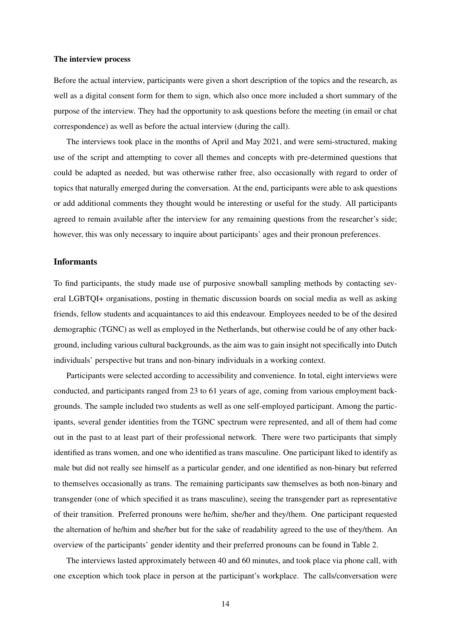#### The interview process

Before the actual interview, participants were given a short description of the topics and the research, as well as a digital consent form for them to sign, which also once more included a short summary of the purpose of the interview. They had the opportunity to ask questions before the meeting (in email or chat correspondence) as well as before the actual interview (during the call).

The interviews took place in the months of April and May 2021, and were semi-structured, making use of the script and attempting to cover all themes and concepts with pre-determined questions that could be adapted as needed, but was otherwise rather free, also occasionally with regard to order of topics that naturally emerged during the conversation. At the end, participants were able to ask questions or add additional comments they thought would be interesting or useful for the study. All participants agreed to remain available after the interview for any remaining questions from the researcher's side; however, this was only necessary to inquire about participants' ages and their pronoun preferences.

#### **Informants**

To find participants, the study made use of purposive snowball sampling methods by contacting several LGBTQI+ organisations, posting in thematic discussion boards on social media as well as asking friends, fellow students and acquaintances to aid this endeavour. Employees needed to be of the desired demographic (TGNC) as well as employed in the Netherlands, but otherwise could be of any other background, including various cultural backgrounds, as the aim was to gain insight not specifically into Dutch individuals' perspective but trans and non-binary individuals in a working context.

Participants were selected according to accessibility and convenience. In total, eight interviews were conducted, and participants ranged from 23 to 61 years of age, coming from various employment backgrounds. The sample included two students as well as one self-employed participant. Among the participants, several gender identities from the TGNC spectrum were represented, and all of them had come out in the past to at least part of their professional network. There were two participants that simply identified as trans women, and one who identified as trans masculine. One participant liked to identify as male but did not really see himself as a particular gender, and one identified as non-binary but referred to themselves occasionally as trans. The remaining participants saw themselves as both non-binary and transgender (one of which specified it as trans masculine), seeing the transgender part as representative of their transition. Preferred pronouns were he/him, she/her and they/them. One participant requested the alternation of he/him and she/her but for the sake of readability agreed to the use of they/them. An overview of the participants' gender identity and their preferred pronouns can be found in Table 2.

The interviews lasted approximately between 40 and 60 minutes, and took place via phone call, with one exception which took place in person at the participant's workplace. The calls/conversation were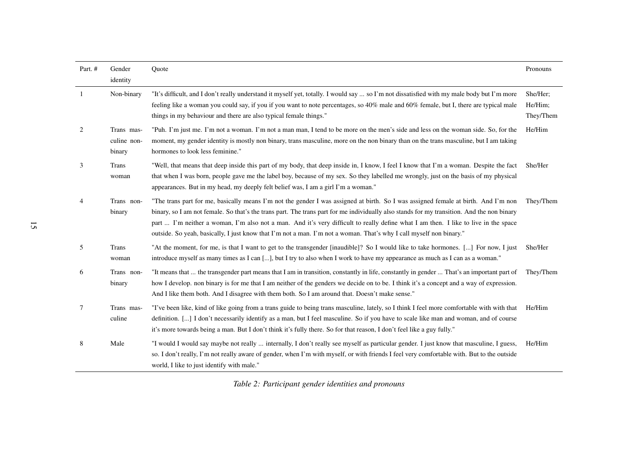| Part. #        | Gender                              | Quote                                                                                                                                                                                                                                                                                                                                                                                                                                                                                                                                          | Pronouns                         |
|----------------|-------------------------------------|------------------------------------------------------------------------------------------------------------------------------------------------------------------------------------------------------------------------------------------------------------------------------------------------------------------------------------------------------------------------------------------------------------------------------------------------------------------------------------------------------------------------------------------------|----------------------------------|
|                | identity                            |                                                                                                                                                                                                                                                                                                                                                                                                                                                                                                                                                |                                  |
| 1              | Non-binary                          | "It's difficult, and I don't really understand it myself yet, totally. I would say  so I'm not dissatisfied with my male body but I'm more<br>feeling like a woman you could say, if you if you want to note percentages, so 40% male and 60% female, but I, there are typical male<br>things in my behaviour and there are also typical female things."                                                                                                                                                                                       | She/Her;<br>He/Him:<br>They/Them |
| 2              | Trans mas-<br>culine non-<br>binary | "Puh. I'm just me. I'm not a woman. I'm not a man man, I tend to be more on the men's side and less on the woman side. So, for the<br>moment, my gender identity is mostly non binary, trans masculine, more on the non binary than on the trans masculine, but I am taking<br>hormones to look less feminine."                                                                                                                                                                                                                                | He/Him                           |
| 3              | Trans<br>woman                      | "Well, that means that deep inside this part of my body, that deep inside in, I know, I feel I know that I'm a woman. Despite the fact<br>that when I was born, people gave me the label boy, because of my sex. So they labelled me wrongly, just on the basis of my physical<br>appearances. But in my head, my deeply felt belief was, I am a girl I'm a woman."                                                                                                                                                                            | She/Her                          |
| $\overline{4}$ | Trans non-<br>binary                | "The trans part for me, basically means I'm not the gender I was assigned at birth. So I was assigned female at birth. And I'm non<br>binary, so I am not female. So that's the trans part. The trans part for me individually also stands for my transition. And the non binary<br>part  I'm neither a woman, I'm also not a man. And it's very difficult to really define what I am then. I like to live in the space<br>outside. So yeah, basically, I just know that I'm not a man. I'm not a woman. That's why I call myself non binary." | They/Them                        |
| 5              | Trans<br>woman                      | "At the moment, for me, is that I want to get to the transgender [inaudible]? So I would like to take hormones. [] For now, I just<br>introduce myself as many times as I can [], but I try to also when I work to have my appearance as much as I can as a woman."                                                                                                                                                                                                                                                                            | She/Her                          |
| 6              | Trans non-<br>binary                | "It means that  the transgender part means that I am in transition, constantly in life, constantly in gender  That's an important part of<br>how I develop. non binary is for me that I am neither of the genders we decide on to be. I think it's a concept and a way of expression.<br>And I like them both. And I disagree with them both. So I am around that. Doesn't make sense."                                                                                                                                                        | They/Them                        |
| 7              | Trans mas-<br>culine                | "I've been like, kind of like going from a trans guide to being trans masculine, lately, so I think I feel more comfortable with with that<br>definition. [] I don't necessarily identify as a man, but I feel masculine. So if you have to scale like man and woman, and of course<br>it's more towards being a man. But I don't think it's fully there. So for that reason, I don't feel like a guy fully."                                                                                                                                  | He/Him                           |
| 8              | Male                                | "I would I would say maybe not really  internally, I don't really see myself as particular gender. I just know that masculine, I guess,<br>so. I don't really, I'm not really aware of gender, when I'm with myself, or with friends I feel very comfortable with. But to the outside<br>world, I like to just identify with male."                                                                                                                                                                                                            | He/Him                           |

*Table 2: Participant gender identities and pronouns*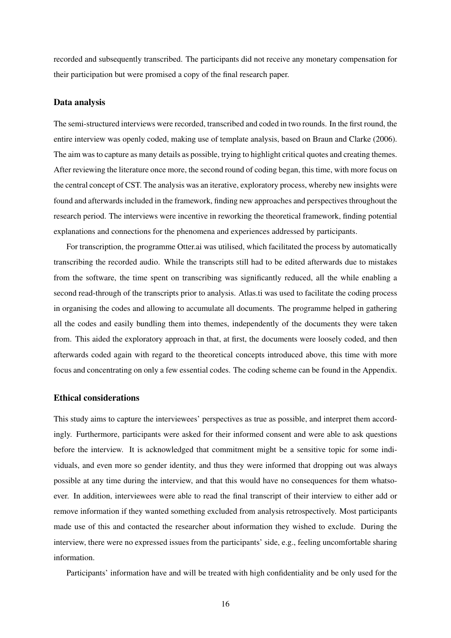recorded and subsequently transcribed. The participants did not receive any monetary compensation for their participation but were promised a copy of the final research paper.

#### Data analysis

The semi-structured interviews were recorded, transcribed and coded in two rounds. In the first round, the entire interview was openly coded, making use of template analysis, based on Braun and Clarke (2006). The aim was to capture as many details as possible, trying to highlight critical quotes and creating themes. After reviewing the literature once more, the second round of coding began, this time, with more focus on the central concept of CST. The analysis was an iterative, exploratory process, whereby new insights were found and afterwards included in the framework, finding new approaches and perspectives throughout the research period. The interviews were incentive in reworking the theoretical framework, finding potential explanations and connections for the phenomena and experiences addressed by participants.

For transcription, the programme Otter.ai was utilised, which facilitated the process by automatically transcribing the recorded audio. While the transcripts still had to be edited afterwards due to mistakes from the software, the time spent on transcribing was significantly reduced, all the while enabling a second read-through of the transcripts prior to analysis. Atlas.ti was used to facilitate the coding process in organising the codes and allowing to accumulate all documents. The programme helped in gathering all the codes and easily bundling them into themes, independently of the documents they were taken from. This aided the exploratory approach in that, at first, the documents were loosely coded, and then afterwards coded again with regard to the theoretical concepts introduced above, this time with more focus and concentrating on only a few essential codes. The coding scheme can be found in the Appendix.

#### Ethical considerations

This study aims to capture the interviewees' perspectives as true as possible, and interpret them accordingly. Furthermore, participants were asked for their informed consent and were able to ask questions before the interview. It is acknowledged that commitment might be a sensitive topic for some individuals, and even more so gender identity, and thus they were informed that dropping out was always possible at any time during the interview, and that this would have no consequences for them whatsoever. In addition, interviewees were able to read the final transcript of their interview to either add or remove information if they wanted something excluded from analysis retrospectively. Most participants made use of this and contacted the researcher about information they wished to exclude. During the interview, there were no expressed issues from the participants' side, e.g., feeling uncomfortable sharing information.

Participants' information have and will be treated with high confidentiality and be only used for the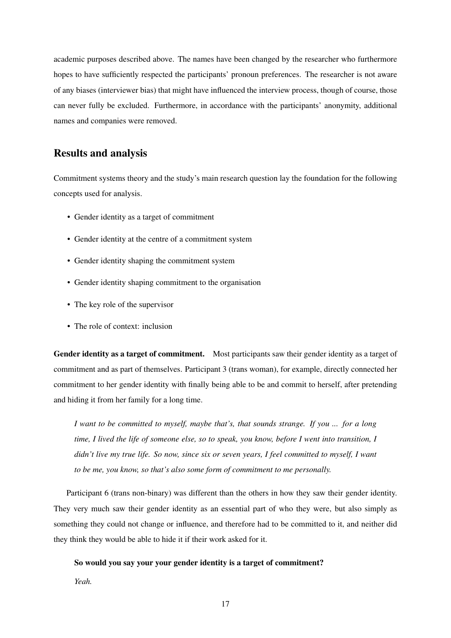academic purposes described above. The names have been changed by the researcher who furthermore hopes to have sufficiently respected the participants' pronoun preferences. The researcher is not aware of any biases (interviewer bias) that might have influenced the interview process, though of course, those can never fully be excluded. Furthermore, in accordance with the participants' anonymity, additional names and companies were removed.

## Results and analysis

Commitment systems theory and the study's main research question lay the foundation for the following concepts used for analysis.

- Gender identity as a target of commitment
- Gender identity at the centre of a commitment system
- Gender identity shaping the commitment system
- Gender identity shaping commitment to the organisation
- The key role of the supervisor
- The role of context: inclusion

Gender identity as a target of commitment. Most participants saw their gender identity as a target of commitment and as part of themselves. Participant 3 (trans woman), for example, directly connected her commitment to her gender identity with finally being able to be and commit to herself, after pretending and hiding it from her family for a long time.

*I want to be committed to myself, maybe that's, that sounds strange. If you ... for a long time, I lived the life of someone else, so to speak, you know, before I went into transition, I didn't live my true life. So now, since six or seven years, I feel committed to myself, I want to be me, you know, so that's also some form of commitment to me personally.*

Participant 6 (trans non-binary) was different than the others in how they saw their gender identity. They very much saw their gender identity as an essential part of who they were, but also simply as something they could not change or influence, and therefore had to be committed to it, and neither did they think they would be able to hide it if their work asked for it.

#### So would you say your your gender identity is a target of commitment?

*Yeah.*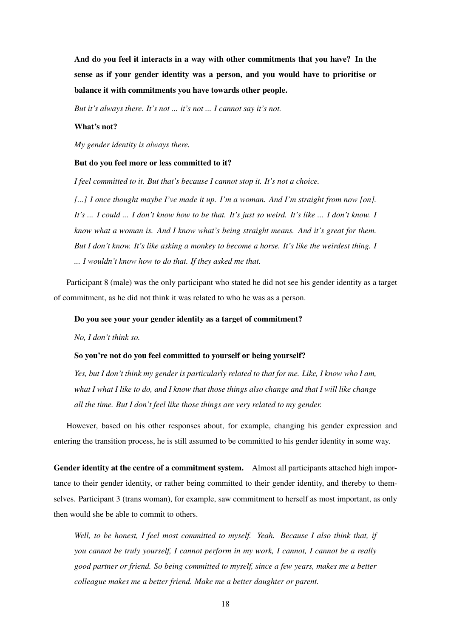And do you feel it interacts in a way with other commitments that you have? In the sense as if your gender identity was a person, and you would have to prioritise or balance it with commitments you have towards other people.

*But it's always there. It's not ... it's not ... I cannot say it's not.*

#### What's not?

*My gender identity is always there.*

#### But do you feel more or less committed to it?

*I feel committed to it. But that's because I cannot stop it. It's not a choice.*

*[...] I once thought maybe I've made it up. I'm a woman. And I'm straight from now [on]. It's ... I could ... I don't know how to be that. It's just so weird. It's like ... I don't know. I know what a woman is. And I know what's being straight means. And it's great for them. But I don't know. It's like asking a monkey to become a horse. It's like the weirdest thing. I ... I wouldn't know how to do that. If they asked me that.*

Participant 8 (male) was the only participant who stated he did not see his gender identity as a target of commitment, as he did not think it was related to who he was as a person.

#### Do you see your your gender identity as a target of commitment?

*No, I don't think so.*

#### So you're not do you feel committed to yourself or being yourself?

*Yes, but I don't think my gender is particularly related to that for me. Like, I know who I am, what I what I like to do, and I know that those things also change and that I will like change all the time. But I don't feel like those things are very related to my gender.*

However, based on his other responses about, for example, changing his gender expression and entering the transition process, he is still assumed to be committed to his gender identity in some way.

Gender identity at the centre of a commitment system. Almost all participants attached high importance to their gender identity, or rather being committed to their gender identity, and thereby to themselves. Participant 3 (trans woman), for example, saw commitment to herself as most important, as only then would she be able to commit to others.

*Well, to be honest, I feel most committed to myself. Yeah. Because I also think that, if you cannot be truly yourself, I cannot perform in my work, I cannot, I cannot be a really good partner or friend. So being committed to myself, since a few years, makes me a better colleague makes me a better friend. Make me a better daughter or parent.*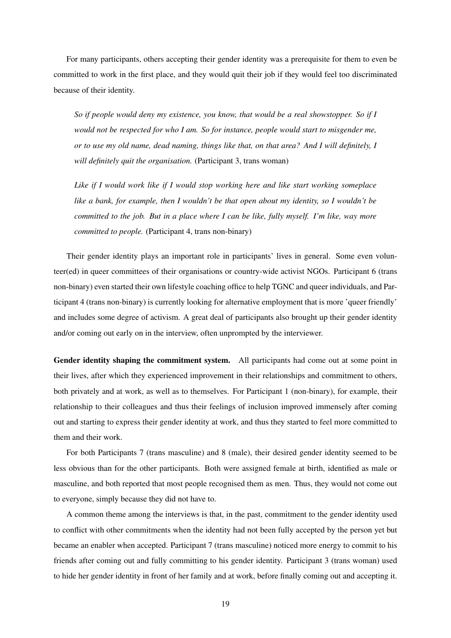For many participants, others accepting their gender identity was a prerequisite for them to even be committed to work in the first place, and they would quit their job if they would feel too discriminated because of their identity.

*So if people would deny my existence, you know, that would be a real showstopper. So if I would not be respected for who I am. So for instance, people would start to misgender me, or to use my old name, dead naming, things like that, on that area? And I will definitely, I will definitely quit the organisation.* (Participant 3, trans woman)

*Like if I would work like if I would stop working here and like start working someplace like a bank, for example, then I wouldn't be that open about my identity, so I wouldn't be committed to the job. But in a place where I can be like, fully myself. I'm like, way more committed to people.* (Participant 4, trans non-binary)

Their gender identity plays an important role in participants' lives in general. Some even volunteer(ed) in queer committees of their organisations or country-wide activist NGOs. Participant 6 (trans non-binary) even started their own lifestyle coaching office to help TGNC and queer individuals, and Participant 4 (trans non-binary) is currently looking for alternative employment that is more 'queer friendly' and includes some degree of activism. A great deal of participants also brought up their gender identity and/or coming out early on in the interview, often unprompted by the interviewer.

Gender identity shaping the commitment system. All participants had come out at some point in their lives, after which they experienced improvement in their relationships and commitment to others, both privately and at work, as well as to themselves. For Participant 1 (non-binary), for example, their relationship to their colleagues and thus their feelings of inclusion improved immensely after coming out and starting to express their gender identity at work, and thus they started to feel more committed to them and their work.

For both Participants 7 (trans masculine) and 8 (male), their desired gender identity seemed to be less obvious than for the other participants. Both were assigned female at birth, identified as male or masculine, and both reported that most people recognised them as men. Thus, they would not come out to everyone, simply because they did not have to.

A common theme among the interviews is that, in the past, commitment to the gender identity used to conflict with other commitments when the identity had not been fully accepted by the person yet but became an enabler when accepted. Participant 7 (trans masculine) noticed more energy to commit to his friends after coming out and fully committing to his gender identity. Participant 3 (trans woman) used to hide her gender identity in front of her family and at work, before finally coming out and accepting it.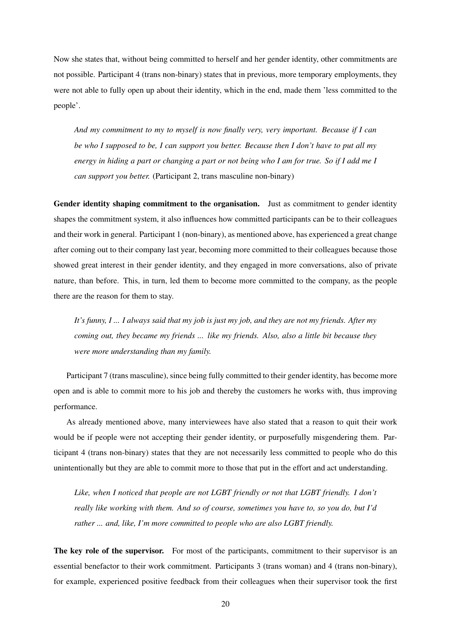Now she states that, without being committed to herself and her gender identity, other commitments are not possible. Participant 4 (trans non-binary) states that in previous, more temporary employments, they were not able to fully open up about their identity, which in the end, made them 'less committed to the people'.

*And my commitment to my to myself is now finally very, very important. Because if I can be who I supposed to be, I can support you better. Because then I don't have to put all my energy in hiding a part or changing a part or not being who I am for true. So if I add me I can support you better.* (Participant 2, trans masculine non-binary)

Gender identity shaping commitment to the organisation. Just as commitment to gender identity shapes the commitment system, it also influences how committed participants can be to their colleagues and their work in general. Participant 1 (non-binary), as mentioned above, has experienced a great change after coming out to their company last year, becoming more committed to their colleagues because those showed great interest in their gender identity, and they engaged in more conversations, also of private nature, than before. This, in turn, led them to become more committed to the company, as the people there are the reason for them to stay.

*It's funny, I ... I always said that my job is just my job, and they are not my friends. After my coming out, they became my friends ... like my friends. Also, also a little bit because they were more understanding than my family.*

Participant 7 (trans masculine), since being fully committed to their gender identity, has become more open and is able to commit more to his job and thereby the customers he works with, thus improving performance.

As already mentioned above, many interviewees have also stated that a reason to quit their work would be if people were not accepting their gender identity, or purposefully misgendering them. Participant 4 (trans non-binary) states that they are not necessarily less committed to people who do this unintentionally but they are able to commit more to those that put in the effort and act understanding.

*Like, when I noticed that people are not LGBT friendly or not that LGBT friendly. I don't really like working with them. And so of course, sometimes you have to, so you do, but I'd rather ... and, like, I'm more committed to people who are also LGBT friendly.*

The key role of the supervisor. For most of the participants, commitment to their supervisor is an essential benefactor to their work commitment. Participants 3 (trans woman) and 4 (trans non-binary), for example, experienced positive feedback from their colleagues when their supervisor took the first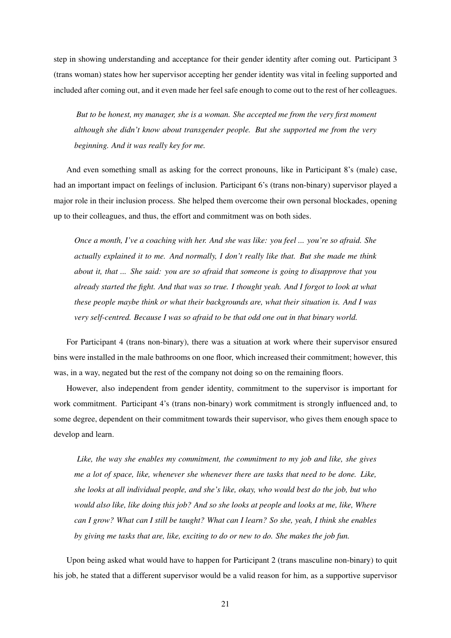step in showing understanding and acceptance for their gender identity after coming out. Participant 3 (trans woman) states how her supervisor accepting her gender identity was vital in feeling supported and included after coming out, and it even made her feel safe enough to come out to the rest of her colleagues.

*But to be honest, my manager, she is a woman. She accepted me from the very first moment although she didn't know about transgender people. But she supported me from the very beginning. And it was really key for me.*

And even something small as asking for the correct pronouns, like in Participant 8's (male) case, had an important impact on feelings of inclusion. Participant 6's (trans non-binary) supervisor played a major role in their inclusion process. She helped them overcome their own personal blockades, opening up to their colleagues, and thus, the effort and commitment was on both sides.

*Once a month, I've a coaching with her. And she was like: you feel ... you're so afraid. She actually explained it to me. And normally, I don't really like that. But she made me think about it, that ... She said: you are so afraid that someone is going to disapprove that you already started the fight. And that was so true. I thought yeah. And I forgot to look at what these people maybe think or what their backgrounds are, what their situation is. And I was very self-centred. Because I was so afraid to be that odd one out in that binary world.*

For Participant 4 (trans non-binary), there was a situation at work where their supervisor ensured bins were installed in the male bathrooms on one floor, which increased their commitment; however, this was, in a way, negated but the rest of the company not doing so on the remaining floors.

However, also independent from gender identity, commitment to the supervisor is important for work commitment. Participant 4's (trans non-binary) work commitment is strongly influenced and, to some degree, dependent on their commitment towards their supervisor, who gives them enough space to develop and learn.

*Like, the way she enables my commitment, the commitment to my job and like, she gives me a lot of space, like, whenever she whenever there are tasks that need to be done. Like, she looks at all individual people, and she's like, okay, who would best do the job, but who would also like, like doing this job? And so she looks at people and looks at me, like, Where can I grow? What can I still be taught? What can I learn? So she, yeah, I think she enables by giving me tasks that are, like, exciting to do or new to do. She makes the job fun.*

Upon being asked what would have to happen for Participant 2 (trans masculine non-binary) to quit his job, he stated that a different supervisor would be a valid reason for him, as a supportive supervisor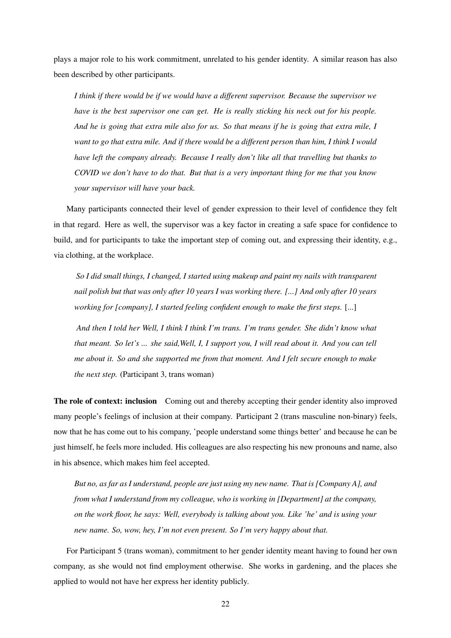plays a major role to his work commitment, unrelated to his gender identity. A similar reason has also been described by other participants.

*I think if there would be if we would have a different supervisor. Because the supervisor we have is the best supervisor one can get. He is really sticking his neck out for his people. And he is going that extra mile also for us. So that means if he is going that extra mile, I want to go that extra mile. And if there would be a different person than him, I think I would have left the company already. Because I really don't like all that travelling but thanks to COVID we don't have to do that. But that is a very important thing for me that you know your supervisor will have your back.*

Many participants connected their level of gender expression to their level of confidence they felt in that regard. Here as well, the supervisor was a key factor in creating a safe space for confidence to build, and for participants to take the important step of coming out, and expressing their identity, e.g., via clothing, at the workplace.

*So I did small things, I changed, I started using makeup and paint my nails with transparent nail polish but that was only after 10 years I was working there. [...] And only after 10 years working for [company], I started feeling confident enough to make the first steps.* [...]

*And then I told her Well, I think I think I'm trans. I'm trans gender. She didn't know what that meant. So let's ... she said,Well, I, I support you, I will read about it. And you can tell me about it. So and she supported me from that moment. And I felt secure enough to make the next step.* (Participant 3, trans woman)

The role of context: inclusion Coming out and thereby accepting their gender identity also improved many people's feelings of inclusion at their company. Participant 2 (trans masculine non-binary) feels, now that he has come out to his company, 'people understand some things better' and because he can be just himself, he feels more included. His colleagues are also respecting his new pronouns and name, also in his absence, which makes him feel accepted.

*But no, as far as I understand, people are just using my new name. That is [Company A], and from what I understand from my colleague, who is working in [Department] at the company, on the work floor, he says: Well, everybody is talking about you. Like 'he' and is using your new name. So, wow, hey, I'm not even present. So I'm very happy about that.*

For Participant 5 (trans woman), commitment to her gender identity meant having to found her own company, as she would not find employment otherwise. She works in gardening, and the places she applied to would not have her express her identity publicly.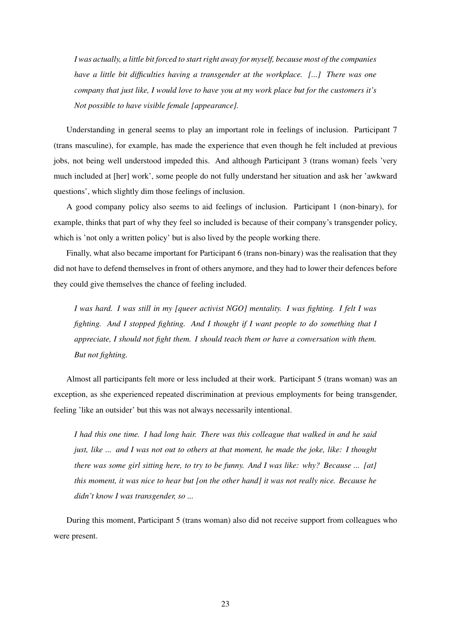*I was actually, a little bit forced to start right away for myself, because most of the companies have a little bit difficulties having a transgender at the workplace. [...] There was one company that just like, I would love to have you at my work place but for the customers it's Not possible to have visible female [appearance].*

Understanding in general seems to play an important role in feelings of inclusion. Participant 7 (trans masculine), for example, has made the experience that even though he felt included at previous jobs, not being well understood impeded this. And although Participant 3 (trans woman) feels 'very much included at [her] work', some people do not fully understand her situation and ask her 'awkward questions', which slightly dim those feelings of inclusion.

A good company policy also seems to aid feelings of inclusion. Participant 1 (non-binary), for example, thinks that part of why they feel so included is because of their company's transgender policy, which is 'not only a written policy' but is also lived by the people working there.

Finally, what also became important for Participant 6 (trans non-binary) was the realisation that they did not have to defend themselves in front of others anymore, and they had to lower their defences before they could give themselves the chance of feeling included.

*I was hard. I was still in my [queer activist NGO] mentality. I was fighting. I felt I was fighting. And I stopped fighting. And I thought if I want people to do something that I appreciate, I should not fight them. I should teach them or have a conversation with them. But not fighting.*

Almost all participants felt more or less included at their work. Participant 5 (trans woman) was an exception, as she experienced repeated discrimination at previous employments for being transgender, feeling 'like an outsider' but this was not always necessarily intentional.

*I had this one time. I had long hair. There was this colleague that walked in and he said just, like ... and I was not out to others at that moment, he made the joke, like: I thought there was some girl sitting here, to try to be funny. And I was like: why? Because ... [at] this moment, it was nice to hear but [on the other hand] it was not really nice. Because he didn't know I was transgender, so ...*

During this moment, Participant 5 (trans woman) also did not receive support from colleagues who were present.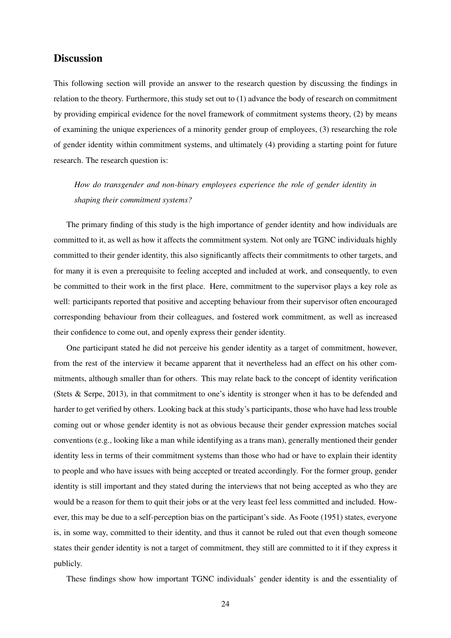## **Discussion**

This following section will provide an answer to the research question by discussing the findings in relation to the theory. Furthermore, this study set out to (1) advance the body of research on commitment by providing empirical evidence for the novel framework of commitment systems theory, (2) by means of examining the unique experiences of a minority gender group of employees, (3) researching the role of gender identity within commitment systems, and ultimately (4) providing a starting point for future research. The research question is:

*How do transgender and non-binary employees experience the role of gender identity in shaping their commitment systems?*

The primary finding of this study is the high importance of gender identity and how individuals are committed to it, as well as how it affects the commitment system. Not only are TGNC individuals highly committed to their gender identity, this also significantly affects their commitments to other targets, and for many it is even a prerequisite to feeling accepted and included at work, and consequently, to even be committed to their work in the first place. Here, commitment to the supervisor plays a key role as well: participants reported that positive and accepting behaviour from their supervisor often encouraged corresponding behaviour from their colleagues, and fostered work commitment, as well as increased their confidence to come out, and openly express their gender identity.

One participant stated he did not perceive his gender identity as a target of commitment, however, from the rest of the interview it became apparent that it nevertheless had an effect on his other commitments, although smaller than for others. This may relate back to the concept of identity verification (Stets & Serpe, 2013), in that commitment to one's identity is stronger when it has to be defended and harder to get verified by others. Looking back at this study's participants, those who have had less trouble coming out or whose gender identity is not as obvious because their gender expression matches social conventions (e.g., looking like a man while identifying as a trans man), generally mentioned their gender identity less in terms of their commitment systems than those who had or have to explain their identity to people and who have issues with being accepted or treated accordingly. For the former group, gender identity is still important and they stated during the interviews that not being accepted as who they are would be a reason for them to quit their jobs or at the very least feel less committed and included. However, this may be due to a self-perception bias on the participant's side. As Foote (1951) states, everyone is, in some way, committed to their identity, and thus it cannot be ruled out that even though someone states their gender identity is not a target of commitment, they still are committed to it if they express it publicly.

These findings show how important TGNC individuals' gender identity is and the essentiality of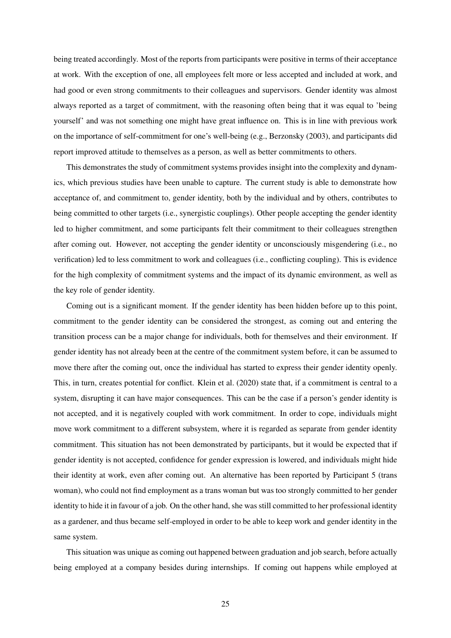being treated accordingly. Most of the reports from participants were positive in terms of their acceptance at work. With the exception of one, all employees felt more or less accepted and included at work, and had good or even strong commitments to their colleagues and supervisors. Gender identity was almost always reported as a target of commitment, with the reasoning often being that it was equal to 'being yourself' and was not something one might have great influence on. This is in line with previous work on the importance of self-commitment for one's well-being (e.g., Berzonsky (2003), and participants did report improved attitude to themselves as a person, as well as better commitments to others.

This demonstrates the study of commitment systems provides insight into the complexity and dynamics, which previous studies have been unable to capture. The current study is able to demonstrate how acceptance of, and commitment to, gender identity, both by the individual and by others, contributes to being committed to other targets (i.e., synergistic couplings). Other people accepting the gender identity led to higher commitment, and some participants felt their commitment to their colleagues strengthen after coming out. However, not accepting the gender identity or unconsciously misgendering (i.e., no verification) led to less commitment to work and colleagues (i.e., conflicting coupling). This is evidence for the high complexity of commitment systems and the impact of its dynamic environment, as well as the key role of gender identity.

Coming out is a significant moment. If the gender identity has been hidden before up to this point, commitment to the gender identity can be considered the strongest, as coming out and entering the transition process can be a major change for individuals, both for themselves and their environment. If gender identity has not already been at the centre of the commitment system before, it can be assumed to move there after the coming out, once the individual has started to express their gender identity openly. This, in turn, creates potential for conflict. Klein et al. (2020) state that, if a commitment is central to a system, disrupting it can have major consequences. This can be the case if a person's gender identity is not accepted, and it is negatively coupled with work commitment. In order to cope, individuals might move work commitment to a different subsystem, where it is regarded as separate from gender identity commitment. This situation has not been demonstrated by participants, but it would be expected that if gender identity is not accepted, confidence for gender expression is lowered, and individuals might hide their identity at work, even after coming out. An alternative has been reported by Participant 5 (trans woman), who could not find employment as a trans woman but was too strongly committed to her gender identity to hide it in favour of a job. On the other hand, she was still committed to her professional identity as a gardener, and thus became self-employed in order to be able to keep work and gender identity in the same system.

This situation was unique as coming out happened between graduation and job search, before actually being employed at a company besides during internships. If coming out happens while employed at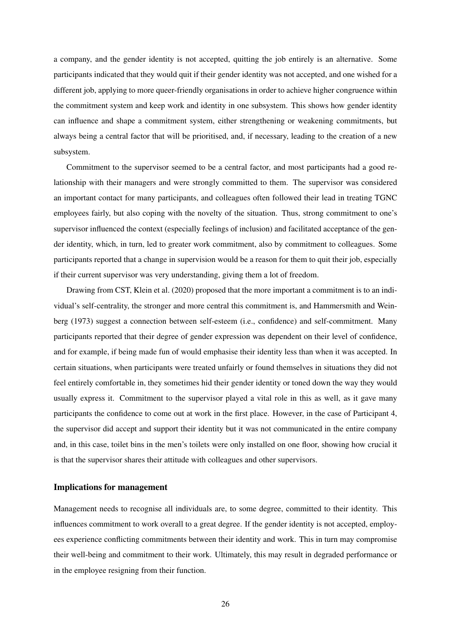a company, and the gender identity is not accepted, quitting the job entirely is an alternative. Some participants indicated that they would quit if their gender identity was not accepted, and one wished for a different job, applying to more queer-friendly organisations in order to achieve higher congruence within the commitment system and keep work and identity in one subsystem. This shows how gender identity can influence and shape a commitment system, either strengthening or weakening commitments, but always being a central factor that will be prioritised, and, if necessary, leading to the creation of a new subsystem.

Commitment to the supervisor seemed to be a central factor, and most participants had a good relationship with their managers and were strongly committed to them. The supervisor was considered an important contact for many participants, and colleagues often followed their lead in treating TGNC employees fairly, but also coping with the novelty of the situation. Thus, strong commitment to one's supervisor influenced the context (especially feelings of inclusion) and facilitated acceptance of the gender identity, which, in turn, led to greater work commitment, also by commitment to colleagues. Some participants reported that a change in supervision would be a reason for them to quit their job, especially if their current supervisor was very understanding, giving them a lot of freedom.

Drawing from CST, Klein et al. (2020) proposed that the more important a commitment is to an individual's self-centrality, the stronger and more central this commitment is, and Hammersmith and Weinberg (1973) suggest a connection between self-esteem (i.e., confidence) and self-commitment. Many participants reported that their degree of gender expression was dependent on their level of confidence, and for example, if being made fun of would emphasise their identity less than when it was accepted. In certain situations, when participants were treated unfairly or found themselves in situations they did not feel entirely comfortable in, they sometimes hid their gender identity or toned down the way they would usually express it. Commitment to the supervisor played a vital role in this as well, as it gave many participants the confidence to come out at work in the first place. However, in the case of Participant 4, the supervisor did accept and support their identity but it was not communicated in the entire company and, in this case, toilet bins in the men's toilets were only installed on one floor, showing how crucial it is that the supervisor shares their attitude with colleagues and other supervisors.

#### Implications for management

Management needs to recognise all individuals are, to some degree, committed to their identity. This influences commitment to work overall to a great degree. If the gender identity is not accepted, employees experience conflicting commitments between their identity and work. This in turn may compromise their well-being and commitment to their work. Ultimately, this may result in degraded performance or in the employee resigning from their function.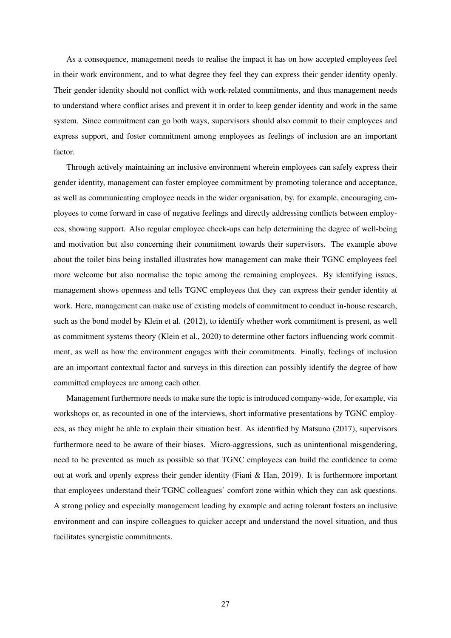As a consequence, management needs to realise the impact it has on how accepted employees feel in their work environment, and to what degree they feel they can express their gender identity openly. Their gender identity should not conflict with work-related commitments, and thus management needs to understand where conflict arises and prevent it in order to keep gender identity and work in the same system. Since commitment can go both ways, supervisors should also commit to their employees and express support, and foster commitment among employees as feelings of inclusion are an important factor.

Through actively maintaining an inclusive environment wherein employees can safely express their gender identity, management can foster employee commitment by promoting tolerance and acceptance, as well as communicating employee needs in the wider organisation, by, for example, encouraging employees to come forward in case of negative feelings and directly addressing conflicts between employees, showing support. Also regular employee check-ups can help determining the degree of well-being and motivation but also concerning their commitment towards their supervisors. The example above about the toilet bins being installed illustrates how management can make their TGNC employees feel more welcome but also normalise the topic among the remaining employees. By identifying issues, management shows openness and tells TGNC employees that they can express their gender identity at work. Here, management can make use of existing models of commitment to conduct in-house research, such as the bond model by Klein et al. (2012), to identify whether work commitment is present, as well as commitment systems theory (Klein et al., 2020) to determine other factors influencing work commitment, as well as how the environment engages with their commitments. Finally, feelings of inclusion are an important contextual factor and surveys in this direction can possibly identify the degree of how committed employees are among each other.

Management furthermore needs to make sure the topic is introduced company-wide, for example, via workshops or, as recounted in one of the interviews, short informative presentations by TGNC employees, as they might be able to explain their situation best. As identified by Matsuno (2017), supervisors furthermore need to be aware of their biases. Micro-aggressions, such as unintentional misgendering, need to be prevented as much as possible so that TGNC employees can build the confidence to come out at work and openly express their gender identity (Fiani & Han, 2019). It is furthermore important that employees understand their TGNC colleagues' comfort zone within which they can ask questions. A strong policy and especially management leading by example and acting tolerant fosters an inclusive environment and can inspire colleagues to quicker accept and understand the novel situation, and thus facilitates synergistic commitments.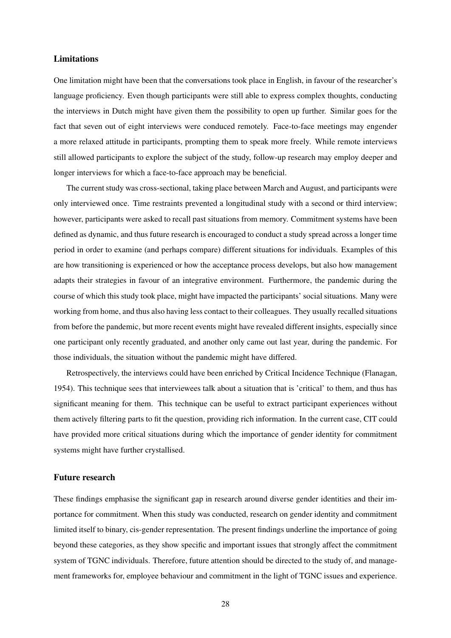#### Limitations

One limitation might have been that the conversations took place in English, in favour of the researcher's language proficiency. Even though participants were still able to express complex thoughts, conducting the interviews in Dutch might have given them the possibility to open up further. Similar goes for the fact that seven out of eight interviews were conduced remotely. Face-to-face meetings may engender a more relaxed attitude in participants, prompting them to speak more freely. While remote interviews still allowed participants to explore the subject of the study, follow-up research may employ deeper and longer interviews for which a face-to-face approach may be beneficial.

The current study was cross-sectional, taking place between March and August, and participants were only interviewed once. Time restraints prevented a longitudinal study with a second or third interview; however, participants were asked to recall past situations from memory. Commitment systems have been defined as dynamic, and thus future research is encouraged to conduct a study spread across a longer time period in order to examine (and perhaps compare) different situations for individuals. Examples of this are how transitioning is experienced or how the acceptance process develops, but also how management adapts their strategies in favour of an integrative environment. Furthermore, the pandemic during the course of which this study took place, might have impacted the participants' social situations. Many were working from home, and thus also having less contact to their colleagues. They usually recalled situations from before the pandemic, but more recent events might have revealed different insights, especially since one participant only recently graduated, and another only came out last year, during the pandemic. For those individuals, the situation without the pandemic might have differed.

Retrospectively, the interviews could have been enriched by Critical Incidence Technique (Flanagan, 1954). This technique sees that interviewees talk about a situation that is 'critical' to them, and thus has significant meaning for them. This technique can be useful to extract participant experiences without them actively filtering parts to fit the question, providing rich information. In the current case, CIT could have provided more critical situations during which the importance of gender identity for commitment systems might have further crystallised.

#### Future research

These findings emphasise the significant gap in research around diverse gender identities and their importance for commitment. When this study was conducted, research on gender identity and commitment limited itself to binary, cis-gender representation. The present findings underline the importance of going beyond these categories, as they show specific and important issues that strongly affect the commitment system of TGNC individuals. Therefore, future attention should be directed to the study of, and management frameworks for, employee behaviour and commitment in the light of TGNC issues and experience.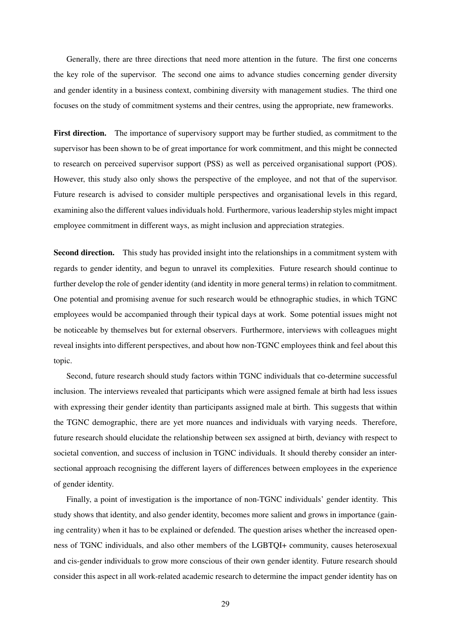Generally, there are three directions that need more attention in the future. The first one concerns the key role of the supervisor. The second one aims to advance studies concerning gender diversity and gender identity in a business context, combining diversity with management studies. The third one focuses on the study of commitment systems and their centres, using the appropriate, new frameworks.

First direction. The importance of supervisory support may be further studied, as commitment to the supervisor has been shown to be of great importance for work commitment, and this might be connected to research on perceived supervisor support (PSS) as well as perceived organisational support (POS). However, this study also only shows the perspective of the employee, and not that of the supervisor. Future research is advised to consider multiple perspectives and organisational levels in this regard, examining also the different values individuals hold. Furthermore, various leadership styles might impact employee commitment in different ways, as might inclusion and appreciation strategies.

Second direction. This study has provided insight into the relationships in a commitment system with regards to gender identity, and begun to unravel its complexities. Future research should continue to further develop the role of gender identity (and identity in more general terms) in relation to commitment. One potential and promising avenue for such research would be ethnographic studies, in which TGNC employees would be accompanied through their typical days at work. Some potential issues might not be noticeable by themselves but for external observers. Furthermore, interviews with colleagues might reveal insights into different perspectives, and about how non-TGNC employees think and feel about this topic.

Second, future research should study factors within TGNC individuals that co-determine successful inclusion. The interviews revealed that participants which were assigned female at birth had less issues with expressing their gender identity than participants assigned male at birth. This suggests that within the TGNC demographic, there are yet more nuances and individuals with varying needs. Therefore, future research should elucidate the relationship between sex assigned at birth, deviancy with respect to societal convention, and success of inclusion in TGNC individuals. It should thereby consider an intersectional approach recognising the different layers of differences between employees in the experience of gender identity.

Finally, a point of investigation is the importance of non-TGNC individuals' gender identity. This study shows that identity, and also gender identity, becomes more salient and grows in importance (gaining centrality) when it has to be explained or defended. The question arises whether the increased openness of TGNC individuals, and also other members of the LGBTQI+ community, causes heterosexual and cis-gender individuals to grow more conscious of their own gender identity. Future research should consider this aspect in all work-related academic research to determine the impact gender identity has on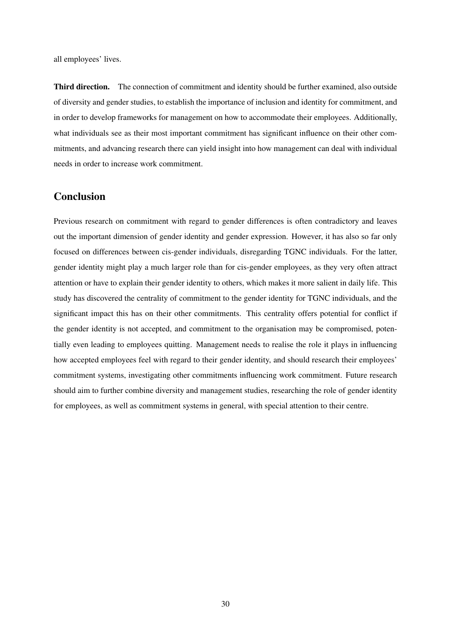all employees' lives.

Third direction. The connection of commitment and identity should be further examined, also outside of diversity and gender studies, to establish the importance of inclusion and identity for commitment, and in order to develop frameworks for management on how to accommodate their employees. Additionally, what individuals see as their most important commitment has significant influence on their other commitments, and advancing research there can yield insight into how management can deal with individual needs in order to increase work commitment.

## Conclusion

Previous research on commitment with regard to gender differences is often contradictory and leaves out the important dimension of gender identity and gender expression. However, it has also so far only focused on differences between cis-gender individuals, disregarding TGNC individuals. For the latter, gender identity might play a much larger role than for cis-gender employees, as they very often attract attention or have to explain their gender identity to others, which makes it more salient in daily life. This study has discovered the centrality of commitment to the gender identity for TGNC individuals, and the significant impact this has on their other commitments. This centrality offers potential for conflict if the gender identity is not accepted, and commitment to the organisation may be compromised, potentially even leading to employees quitting. Management needs to realise the role it plays in influencing how accepted employees feel with regard to their gender identity, and should research their employees' commitment systems, investigating other commitments influencing work commitment. Future research should aim to further combine diversity and management studies, researching the role of gender identity for employees, as well as commitment systems in general, with special attention to their centre.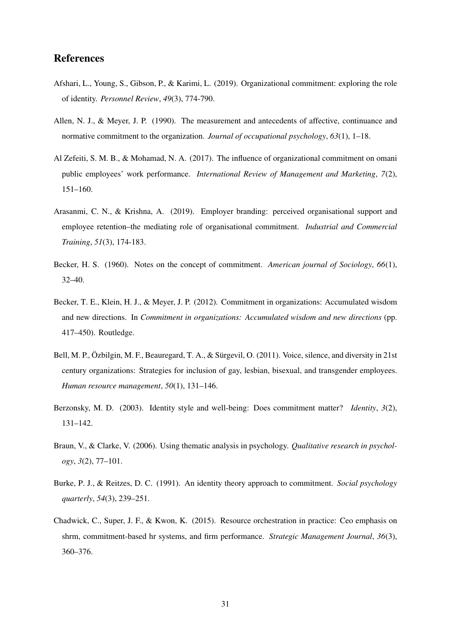## References

- Afshari, L., Young, S., Gibson, P., & Karimi, L. (2019). Organizational commitment: exploring the role of identity. *Personnel Review*, *49*(3), 774-790.
- Allen, N. J., & Meyer, J. P. (1990). The measurement and antecedents of affective, continuance and normative commitment to the organization. *Journal of occupational psychology*, *63*(1), 1–18.
- Al Zefeiti, S. M. B., & Mohamad, N. A. (2017). The influence of organizational commitment on omani public employees' work performance. *International Review of Management and Marketing*, *7*(2), 151–160.
- Arasanmi, C. N., & Krishna, A. (2019). Employer branding: perceived organisational support and employee retention–the mediating role of organisational commitment. *Industrial and Commercial Training*, *51*(3), 174-183.
- Becker, H. S. (1960). Notes on the concept of commitment. *American journal of Sociology*, *66*(1), 32–40.
- Becker, T. E., Klein, H. J., & Meyer, J. P. (2012). Commitment in organizations: Accumulated wisdom and new directions. In *Commitment in organizations: Accumulated wisdom and new directions* (pp. 417–450). Routledge.
- Bell, M. P., Özbilgin, M. F., Beauregard, T. A., & Sürgevil, O. (2011). Voice, silence, and diversity in 21st century organizations: Strategies for inclusion of gay, lesbian, bisexual, and transgender employees. *Human resource management*, *50*(1), 131–146.
- Berzonsky, M. D. (2003). Identity style and well-being: Does commitment matter? *Identity*, *3*(2), 131–142.
- Braun, V., & Clarke, V. (2006). Using thematic analysis in psychology. *Qualitative research in psychology*, *3*(2), 77–101.
- Burke, P. J., & Reitzes, D. C. (1991). An identity theory approach to commitment. *Social psychology quarterly*, *54*(3), 239–251.
- Chadwick, C., Super, J. F., & Kwon, K. (2015). Resource orchestration in practice: Ceo emphasis on shrm, commitment-based hr systems, and firm performance. *Strategic Management Journal*, *36*(3), 360–376.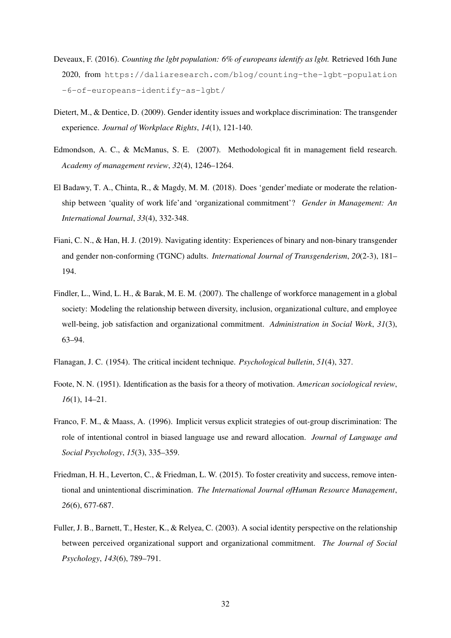- Deveaux, F. (2016). *Counting the lgbt population: 6% of europeans identify as lgbt.* Retrieved 16th June 2020, from https://daliaresearch.com/blog/counting-the-lgbt-population -6-of-europeans-identify-as-lgbt/
- Dietert, M., & Dentice, D. (2009). Gender identity issues and workplace discrimination: The transgender experience. *Journal of Workplace Rights*, *14*(1), 121-140.
- Edmondson, A. C., & McManus, S. E. (2007). Methodological fit in management field research. *Academy of management review*, *32*(4), 1246–1264.
- El Badawy, T. A., Chinta, R., & Magdy, M. M. (2018). Does 'gender'mediate or moderate the relationship between 'quality of work life'and 'organizational commitment'? *Gender in Management: An International Journal*, *33*(4), 332-348.
- Fiani, C. N., & Han, H. J. (2019). Navigating identity: Experiences of binary and non-binary transgender and gender non-conforming (TGNC) adults. *International Journal of Transgenderism*, *20*(2-3), 181– 194.
- Findler, L., Wind, L. H., & Barak, M. E. M. (2007). The challenge of workforce management in a global society: Modeling the relationship between diversity, inclusion, organizational culture, and employee well-being, job satisfaction and organizational commitment. *Administration in Social Work*, *31*(3), 63–94.
- Flanagan, J. C. (1954). The critical incident technique. *Psychological bulletin*, *51*(4), 327.
- Foote, N. N. (1951). Identification as the basis for a theory of motivation. *American sociological review*, *16*(1), 14–21.
- Franco, F. M., & Maass, A. (1996). Implicit versus explicit strategies of out-group discrimination: The role of intentional control in biased language use and reward allocation. *Journal of Language and Social Psychology*, *15*(3), 335–359.
- Friedman, H. H., Leverton, C., & Friedman, L. W. (2015). To foster creativity and success, remove intentional and unintentional discrimination. *The International Journal ofHuman Resource Management*, *26*(6), 677-687.
- Fuller, J. B., Barnett, T., Hester, K., & Relyea, C. (2003). A social identity perspective on the relationship between perceived organizational support and organizational commitment. *The Journal of Social Psychology*, *143*(6), 789–791.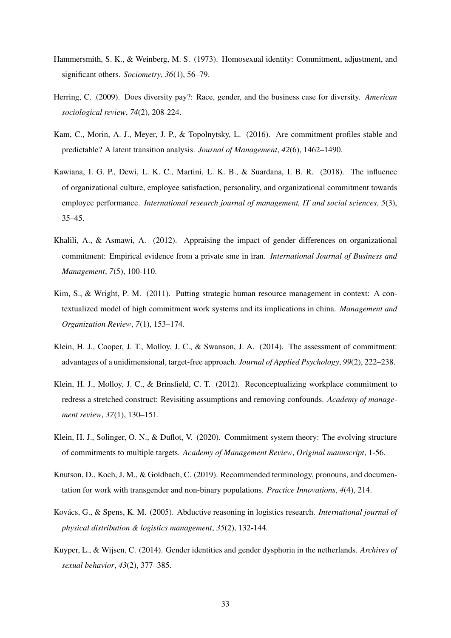- Hammersmith, S. K., & Weinberg, M. S. (1973). Homosexual identity: Commitment, adjustment, and significant others. *Sociometry*, *36*(1), 56–79.
- Herring, C. (2009). Does diversity pay?: Race, gender, and the business case for diversity. *American sociological review*, *74*(2), 208-224.
- Kam, C., Morin, A. J., Meyer, J. P., & Topolnytsky, L. (2016). Are commitment profiles stable and predictable? A latent transition analysis. *Journal of Management*, *42*(6), 1462–1490.
- Kawiana, I. G. P., Dewi, L. K. C., Martini, L. K. B., & Suardana, I. B. R. (2018). The influence of organizational culture, employee satisfaction, personality, and organizational commitment towards employee performance. *International research journal of management, IT and social sciences*, *5*(3), 35–45.
- Khalili, A., & Asmawi, A. (2012). Appraising the impact of gender differences on organizational commitment: Empirical evidence from a private sme in iran. *International Journal of Business and Management*, *7*(5), 100-110.
- Kim, S., & Wright, P. M. (2011). Putting strategic human resource management in context: A contextualized model of high commitment work systems and its implications in china. *Management and Organization Review*, *7*(1), 153–174.
- Klein, H. J., Cooper, J. T., Molloy, J. C., & Swanson, J. A. (2014). The assessment of commitment: advantages of a unidimensional, target-free approach. *Journal of Applied Psychology*, *99*(2), 222–238.
- Klein, H. J., Molloy, J. C., & Brinsfield, C. T. (2012). Reconceptualizing workplace commitment to redress a stretched construct: Revisiting assumptions and removing confounds. *Academy of management review*, *37*(1), 130–151.
- Klein, H. J., Solinger, O. N., & Duflot, V. (2020). Commitment system theory: The evolving structure of commitments to multiple targets. *Academy of Management Review*, *Original manuscript*, 1-56.
- Knutson, D., Koch, J. M., & Goldbach, C. (2019). Recommended terminology, pronouns, and documentation for work with transgender and non-binary populations. *Practice Innovations*, *4*(4), 214.
- Kovács, G., & Spens, K. M. (2005). Abductive reasoning in logistics research. *International journal of physical distribution & logistics management*, *35*(2), 132-144.
- Kuyper, L., & Wijsen, C. (2014). Gender identities and gender dysphoria in the netherlands. *Archives of sexual behavior*, *43*(2), 377–385.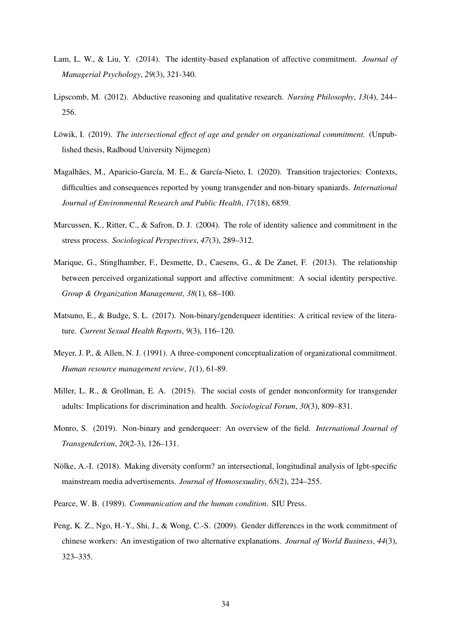- Lam, L. W., & Liu, Y. (2014). The identity-based explanation of affective commitment. *Journal of Managerial Psychology*, *29*(3), 321-340.
- Lipscomb, M. (2012). Abductive reasoning and qualitative research. *Nursing Philosophy*, *13*(4), 244– 256.
- Löwik, I. (2019). *The intersectional effect of age and gender on organisational commitment.* (Unpublished thesis, Radboud University Nijmegen)
- Magalhães, M., Aparicio-García, M. E., & García-Nieto, I. (2020). Transition trajectories: Contexts, difficulties and consequences reported by young transgender and non-binary spaniards. *International Journal of Environmental Research and Public Health*, *17*(18), 6859.
- Marcussen, K., Ritter, C., & Safron, D. J. (2004). The role of identity salience and commitment in the stress process. *Sociological Perspectives*, *47*(3), 289–312.
- Marique, G., Stinglhamber, F., Desmette, D., Caesens, G., & De Zanet, F. (2013). The relationship between perceived organizational support and affective commitment: A social identity perspective. *Group & Organization Management*, *38*(1), 68–100.
- Matsuno, E., & Budge, S. L. (2017). Non-binary/genderqueer identities: A critical review of the literature. *Current Sexual Health Reports*, *9*(3), 116–120.
- Meyer, J. P., & Allen, N. J. (1991). A three-component conceptualization of organizational commitment. *Human resource management review*, *1*(1), 61-89.
- Miller, L. R., & Grollman, E. A. (2015). The social costs of gender nonconformity for transgender adults: Implications for discrimination and health. *Sociological Forum*, *30*(3), 809–831.
- Monro, S. (2019). Non-binary and genderqueer: An overview of the field. *International Journal of Transgenderism*, *20*(2-3), 126–131.
- Nölke, A.-I. (2018). Making diversity conform? an intersectional, longitudinal analysis of lgbt-specific mainstream media advertisements. *Journal of Homosexuality*, *65*(2), 224–255.
- Pearce, W. B. (1989). *Communication and the human condition*. SIU Press.
- Peng, K. Z., Ngo, H.-Y., Shi, J., & Wong, C.-S. (2009). Gender differences in the work commitment of chinese workers: An investigation of two alternative explanations. *Journal of World Business*, *44*(3), 323–335.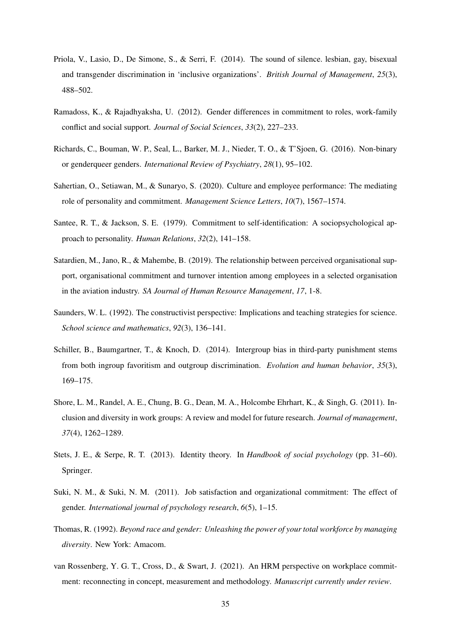- Priola, V., Lasio, D., De Simone, S., & Serri, F. (2014). The sound of silence. lesbian, gay, bisexual and transgender discrimination in 'inclusive organizations'. *British Journal of Management*, *25*(3), 488–502.
- Ramadoss, K., & Rajadhyaksha, U. (2012). Gender differences in commitment to roles, work-family conflict and social support. *Journal of Social Sciences*, *33*(2), 227–233.
- Richards, C., Bouman, W. P., Seal, L., Barker, M. J., Nieder, T. O., & T'Sjoen, G. (2016). Non-binary or genderqueer genders. *International Review of Psychiatry*, *28*(1), 95–102.
- Sahertian, O., Setiawan, M., & Sunaryo, S. (2020). Culture and employee performance: The mediating role of personality and commitment. *Management Science Letters*, *10*(7), 1567–1574.
- Santee, R. T., & Jackson, S. E. (1979). Commitment to self-identification: A sociopsychological approach to personality. *Human Relations*, *32*(2), 141–158.
- Satardien, M., Jano, R., & Mahembe, B. (2019). The relationship between perceived organisational support, organisational commitment and turnover intention among employees in a selected organisation in the aviation industry. *SA Journal of Human Resource Management*, *17*, 1-8.
- Saunders, W. L. (1992). The constructivist perspective: Implications and teaching strategies for science. *School science and mathematics*, *92*(3), 136–141.
- Schiller, B., Baumgartner, T., & Knoch, D. (2014). Intergroup bias in third-party punishment stems from both ingroup favoritism and outgroup discrimination. *Evolution and human behavior*, *35*(3), 169–175.
- Shore, L. M., Randel, A. E., Chung, B. G., Dean, M. A., Holcombe Ehrhart, K., & Singh, G. (2011). Inclusion and diversity in work groups: A review and model for future research. *Journal of management*, *37*(4), 1262–1289.
- Stets, J. E., & Serpe, R. T. (2013). Identity theory. In *Handbook of social psychology* (pp. 31–60). Springer.
- Suki, N. M., & Suki, N. M. (2011). Job satisfaction and organizational commitment: The effect of gender. *International journal of psychology research*, *6*(5), 1–15.
- Thomas, R. (1992). *Beyond race and gender: Unleashing the power of your total workforce by managing diversity*. New York: Amacom.
- van Rossenberg, Y. G. T., Cross, D., & Swart, J. (2021). An HRM perspective on workplace commitment: reconnecting in concept, measurement and methodology. *Manuscript currently under review*.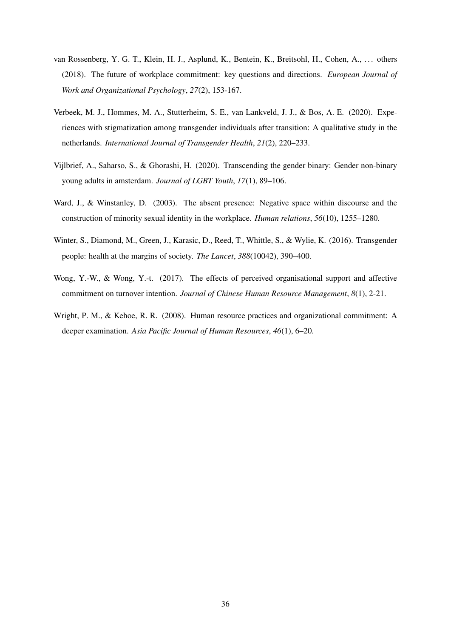- van Rossenberg, Y. G. T., Klein, H. J., Asplund, K., Bentein, K., Breitsohl, H., Cohen, A., . . . others (2018). The future of workplace commitment: key questions and directions. *European Journal of Work and Organizational Psychology*, *27*(2), 153-167.
- Verbeek, M. J., Hommes, M. A., Stutterheim, S. E., van Lankveld, J. J., & Bos, A. E. (2020). Experiences with stigmatization among transgender individuals after transition: A qualitative study in the netherlands. *International Journal of Transgender Health*, *21*(2), 220–233.
- Vijlbrief, A., Saharso, S., & Ghorashi, H. (2020). Transcending the gender binary: Gender non-binary young adults in amsterdam. *Journal of LGBT Youth*, *17*(1), 89–106.
- Ward, J., & Winstanley, D. (2003). The absent presence: Negative space within discourse and the construction of minority sexual identity in the workplace. *Human relations*, *56*(10), 1255–1280.
- Winter, S., Diamond, M., Green, J., Karasic, D., Reed, T., Whittle, S., & Wylie, K. (2016). Transgender people: health at the margins of society. *The Lancet*, *388*(10042), 390–400.
- Wong, Y.-W., & Wong, Y.-t. (2017). The effects of perceived organisational support and affective commitment on turnover intention. *Journal of Chinese Human Resource Management*, *8*(1), 2-21.
- Wright, P. M., & Kehoe, R. R. (2008). Human resource practices and organizational commitment: A deeper examination. *Asia Pacific Journal of Human Resources*, *46*(1), 6–20.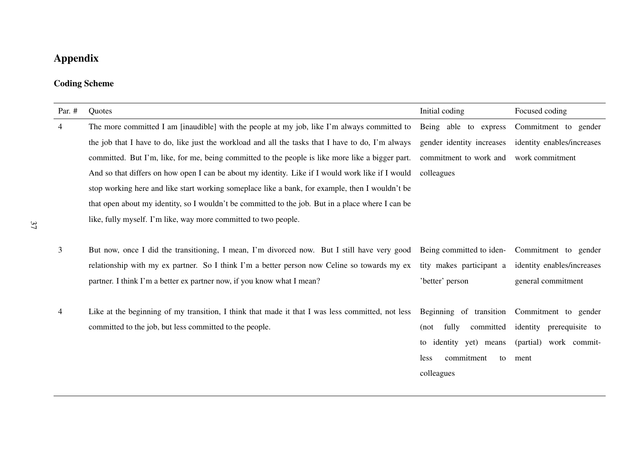# Appendix

## Coding Scheme

| Par. #         | Quotes                                                                                            | Initial coding             | Focused coding             |
|----------------|---------------------------------------------------------------------------------------------------|----------------------------|----------------------------|
| $\overline{4}$ | The more committed I am [inaudible] with the people at my job, like I'm always committed to       | Being able to express      | Commitment to gender       |
|                | the job that I have to do, like just the workload and all the tasks that I have to do, I'm always | gender identity increases  | identity enables/increases |
|                | committed. But I'm, like, for me, being committed to the people is like more like a bigger part.  | commitment to work and     | work commitment            |
|                | And so that differs on how open I can be about my identity. Like if I would work like if I would  | colleagues                 |                            |
|                | stop working here and like start working someplace like a bank, for example, then I wouldn't be   |                            |                            |
|                | that open about my identity, so I wouldn't be committed to the job. But in a place where I can be |                            |                            |
|                | like, fully myself. I'm like, way more committed to two people.                                   |                            |                            |
|                |                                                                                                   |                            |                            |
| 3              | But now, once I did the transitioning, I mean, I'm divorced now. But I still have very good       | Being committed to iden-   | Commitment to gender       |
|                | relationship with my ex partner. So I think I'm a better person now Celine so towards my ex       | tity makes participant a   | identity enables/increases |
|                | partner. I think I'm a better ex partner now, if you know what I mean?                            | 'better' person            | general commitment         |
|                |                                                                                                   |                            |                            |
| $\overline{4}$ | Like at the beginning of my transition, I think that made it that I was less committed, not less  | Beginning of transition    | Commitment to gender       |
|                | committed to the job, but less committed to the people.                                           | fully<br>committed<br>(not | identity prerequisite to   |
|                |                                                                                                   | to identity yet) means     | (partial) work commit-     |
|                |                                                                                                   | commitment<br>less<br>to   | ment                       |
|                |                                                                                                   | colleagues                 |                            |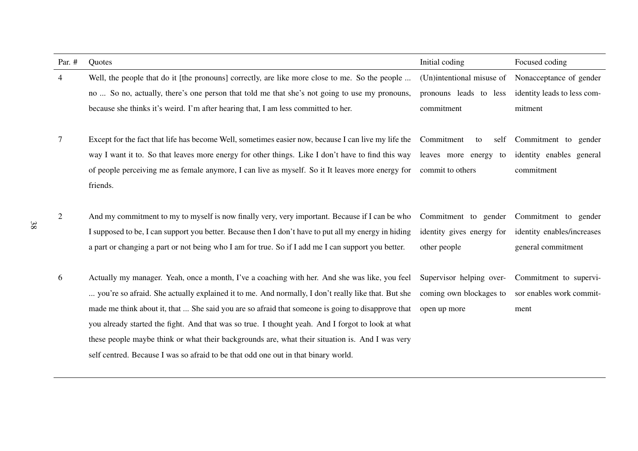| Par. #         | Quotes                                                                                               | Initial coding            | Focused coding              |
|----------------|------------------------------------------------------------------------------------------------------|---------------------------|-----------------------------|
| $\overline{4}$ | Well, the people that do it [the pronouns] correctly, are like more close to me. So the people       | (Un)intentional misuse of | Nonacceptance of gender     |
|                | no  So no, actually, there's one person that told me that she's not going to use my pronouns,        | pronouns leads to less    | identity leads to less com- |
|                | because she thinks it's weird. I'm after hearing that, I am less committed to her.                   | commitment                | mitment                     |
| 7              | Except for the fact that life has become Well, sometimes easier now, because I can live my life the  | Commitment<br>self<br>to  | Commitment to gender        |
|                | way I want it to. So that leaves more energy for other things. Like I don't have to find this way    | leaves more energy<br>to  | identity enables general    |
|                | of people perceiving me as female anymore, I can live as myself. So it It leaves more energy for     | commit to others          | commitment                  |
|                | friends.                                                                                             |                           |                             |
| $\overline{2}$ | And my commitment to my to myself is now finally very, very important. Because if I can be who       | Commitment to gender      | Commitment to gender        |
|                | I supposed to be, I can support you better. Because then I don't have to put all my energy in hiding | identity gives energy for | identity enables/increases  |
|                | a part or changing a part or not being who I am for true. So if I add me I can support you better.   | other people              | general commitment          |
| 6              | Actually my manager. Yeah, once a month, I've a coaching with her. And she was like, you feel        | Supervisor helping over-  | Commitment to supervi-      |
|                | you're so afraid. She actually explained it to me. And normally, I don't really like that. But she   | coming own blockages to   | sor enables work commit-    |
|                | made me think about it, that  She said you are so afraid that someone is going to disapprove that    | open up more              | ment                        |
|                | you already started the fight. And that was so true. I thought yeah. And I forgot to look at what    |                           |                             |
|                | these people maybe think or what their backgrounds are, what their situation is. And I was very      |                           |                             |
|                | self centred. Because I was so afraid to be that odd one out in that binary world.                   |                           |                             |

38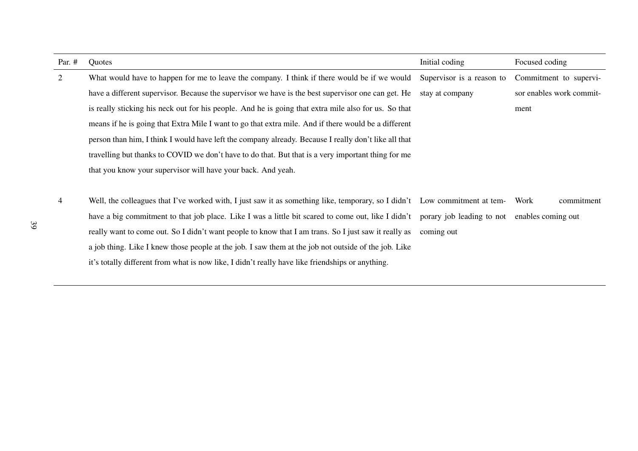| Par. $#$ | Quotes                                                                                                                     | Initial coding            | Focused coding           |
|----------|----------------------------------------------------------------------------------------------------------------------------|---------------------------|--------------------------|
| 2        | What would have to happen for me to leave the company. I think if there would be if we would                               | Supervisor is a reason to | Commitment to supervi-   |
|          | have a different supervisor. Because the supervisor we have is the best supervisor one can get. He                         | stay at company           | sor enables work commit- |
|          | is really sticking his neck out for his people. And he is going that extra mile also for us. So that                       |                           | ment                     |
|          | means if he is going that Extra Mile I want to go that extra mile. And if there would be a different                       |                           |                          |
|          | person than him, I think I would have left the company already. Because I really don't like all that                       |                           |                          |
|          | travelling but thanks to COVID we don't have to do that. But that is a very important thing for me                         |                           |                          |
|          | that you know your supervisor will have your back. And yeah.                                                               |                           |                          |
|          |                                                                                                                            |                           |                          |
| 4        | Well, the colleagues that I've worked with, I just saw it as something like, temporary, so I didn't Low commitment at tem- |                           | commitment<br>Work       |
|          | have a big commitment to that job place. Like I was a little bit scared to come out, like I didn't                         | porary job leading to not | enables coming out       |
|          | really want to come out. So I didn't want people to know that I am trans. So I just saw it really as                       | coming out                |                          |
|          | a job thing. Like I knew those people at the job. I saw them at the job not outside of the job. Like                       |                           |                          |
|          | it's totally different from what is now like, I didn't really have like friendships or anything.                           |                           |                          |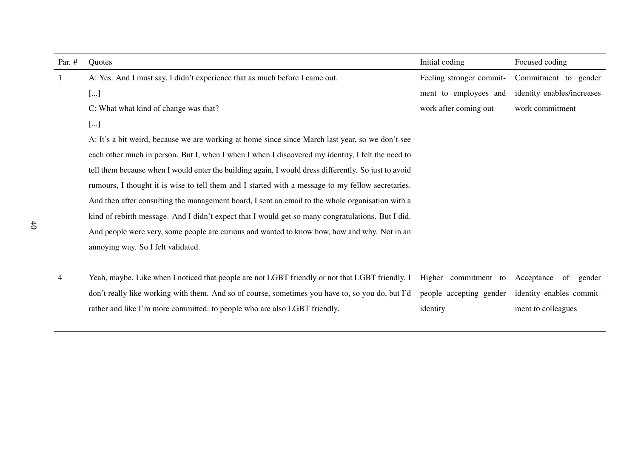| Par. $#$     | Quotes                                                                                               | Initial coding                  | Focused coding             |
|--------------|------------------------------------------------------------------------------------------------------|---------------------------------|----------------------------|
| $\mathbf{1}$ | A: Yes. And I must say, I didn't experience that as much before I came out.                          | Feeling stronger commit-        | Commitment to gender       |
|              | []                                                                                                   | ment to employees and           | identity enables/increases |
|              | C: What what kind of change was that?                                                                | work after coming out           | work commitment            |
|              | []                                                                                                   |                                 |                            |
|              | A: It's a bit weird, because we are working at home since since March last year, so we don't see     |                                 |                            |
|              | each other much in person. But I, when I when I when I discovered my identity, I felt the need to    |                                 |                            |
|              | tell them because when I would enter the building again, I would dress differently. So just to avoid |                                 |                            |
|              | rumours, I thought it is wise to tell them and I started with a message to my fellow secretaries.    |                                 |                            |
|              | And then after consulting the management board, I sent an email to the whole organisation with a     |                                 |                            |
|              | kind of rebirth message. And I didn't expect that I would get so many congratulations. But I did.    |                                 |                            |
|              | And people were very, some people are curious and wanted to know how, how and why. Not in an         |                                 |                            |
|              | annoying way. So I felt validated.                                                                   |                                 |                            |
|              |                                                                                                      |                                 |                            |
| 4            | Yeah, maybe. Like when I noticed that people are not LGBT friendly or not that LGBT friendly. I      | Higher commitment to Acceptance | of<br>gender               |
|              | don't really like working with them. And so of course, sometimes you have to, so you do, but I'd     | people accepting gender         | identity enables commit-   |
|              | rather and like I'm more committed. to people who are also LGBT friendly.                            | identity                        | ment to colleagues         |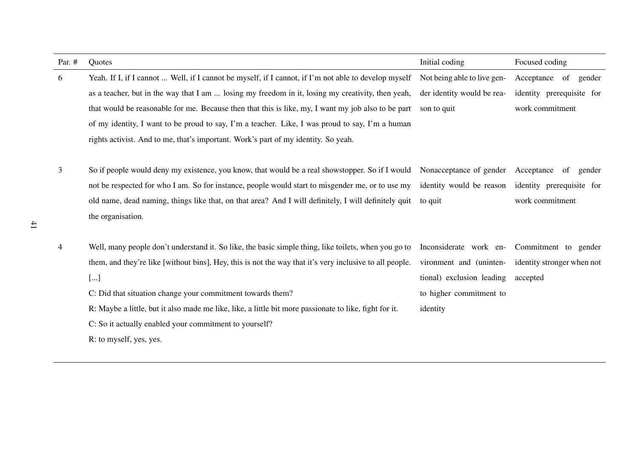| Par. $#$     | Quotes                                                                                                  | Initial coding                     | Focused coding             |
|--------------|---------------------------------------------------------------------------------------------------------|------------------------------------|----------------------------|
| 6            | Yeah. If I, if I cannot  Well, if I cannot be myself, if I cannot, if I'm not able to develop myself    | Not being able to live gen-        | Acceptance<br>of gender    |
|              | as a teacher, but in the way that I am  losing my freedom in it, losing my creativity, then yeah,       | der identity would be rea-         | identity prerequisite for  |
|              | that would be reasonable for me. Because then that this is like, my, I want my job also to be part      | son to quit                        | work commitment            |
|              | of my identity, I want to be proud to say, I'm a teacher. Like, I was proud to say, I'm a human         |                                    |                            |
|              | rights activist. And to me, that's important. Work's part of my identity. So yeah.                      |                                    |                            |
|              |                                                                                                         |                                    |                            |
| $\mathbf{3}$ | So if people would deny my existence, you know, that would be a real showstopper. So if I would         | Nonacceptance of gender Acceptance | of<br>gender               |
|              | not be respected for who I am. So for instance, people would start to misgender me, or to use my        | identity would be reason           | identity prerequisite for  |
|              | old name, dead naming, things like that, on that area? And I will definitely, I will definitely quit    | to quit                            | work commitment            |
|              | the organisation.                                                                                       |                                    |                            |
|              |                                                                                                         |                                    |                            |
| 4            | Well, many people don't understand it. So like, the basic simple thing, like toilets, when you go to    | Inconsiderate work en-             | Commitment to gender       |
|              | them, and they're like [without bins], Hey, this is not the way that it's very inclusive to all people. | vironment and (uninten-            | identity stronger when not |
|              | []                                                                                                      | tional) exclusion leading          | accepted                   |
|              | C: Did that situation change your commitment towards them?                                              | to higher commitment to            |                            |
|              | R: Maybe a little, but it also made me like, like, a little bit more passionate to like, fight for it.  | identity                           |                            |
|              | C: So it actually enabled your commitment to yourself?                                                  |                                    |                            |
|              | R: to myself, yes, yes.                                                                                 |                                    |                            |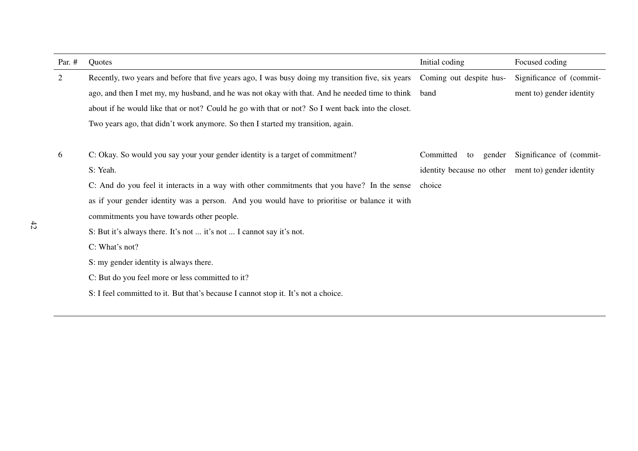| Par. $#$ | Quotes                                                                                             | Initial coding                                     | Focused coding           |
|----------|----------------------------------------------------------------------------------------------------|----------------------------------------------------|--------------------------|
| 2        | Recently, two years and before that five years ago, I was busy doing my transition five, six years | Coming out despite hus-                            | Significance of (commit- |
|          | ago, and then I met my, my husband, and he was not okay with that. And he needed time to think     | band                                               | ment to) gender identity |
|          | about if he would like that or not? Could he go with that or not? So I went back into the closet.  |                                                    |                          |
|          | Two years ago, that didn't work anymore. So then I started my transition, again.                   |                                                    |                          |
|          |                                                                                                    |                                                    |                          |
| 6        | C: Okay. So would you say your your gender identity is a target of commitment?                     | Committed<br>gender<br>to                          | Significance of (commit- |
|          | S: Yeah.                                                                                           | identity because no other ment to) gender identity |                          |
|          | C: And do you feel it interacts in a way with other commitments that you have? In the sense        | choice                                             |                          |
|          | as if your gender identity was a person. And you would have to prioritise or balance it with       |                                                    |                          |
|          | commitments you have towards other people.                                                         |                                                    |                          |
|          | S: But it's always there. It's not  it's not  I cannot say it's not.                               |                                                    |                          |
|          | C: What's not?                                                                                     |                                                    |                          |
|          | S: my gender identity is always there.                                                             |                                                    |                          |
|          | C: But do you feel more or less committed to it?                                                   |                                                    |                          |
|          | S: I feel committed to it. But that's because I cannot stop it. It's not a choice.                 |                                                    |                          |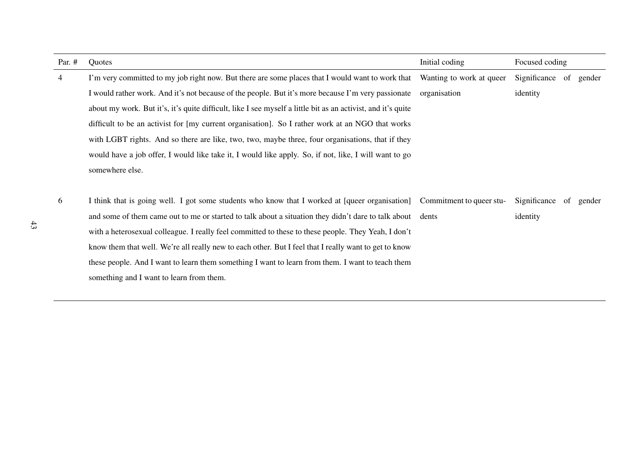| Par. $#$       | Quotes                                                                                                       | Initial coding           | Focused coding            |
|----------------|--------------------------------------------------------------------------------------------------------------|--------------------------|---------------------------|
| $\overline{4}$ | I'm very committed to my job right now. But there are some places that I would want to work that             | Wanting to work at queer | Significance<br>of gender |
|                | I would rather work. And it's not because of the people. But it's more because I'm very passionate           | organisation             | identity                  |
|                | about my work. But it's, it's quite difficult, like I see myself a little bit as an activist, and it's quite |                          |                           |
|                | difficult to be an activist for [my current organisation]. So I rather work at an NGO that works             |                          |                           |
|                | with LGBT rights. And so there are like, two, two, maybe three, four organisations, that if they             |                          |                           |
|                | would have a job offer, I would like take it, I would like apply. So, if not, like, I will want to go        |                          |                           |
|                | somewhere else.                                                                                              |                          |                           |
|                |                                                                                                              |                          |                           |
| 6              | I think that is going well. I got some students who know that I worked at [queer organisation]               | Commitment to queer stu- | Significance<br>of gender |
|                | and some of them came out to me or started to talk about a situation they didn't dare to talk about dents    |                          | identity                  |
|                | with a heterosexual colleague. I really feel committed to these to these people. They Yeah, I don't          |                          |                           |
|                | know them that well. We're all really new to each other. But I feel that I really want to get to know        |                          |                           |
|                | these people. And I want to learn them something I want to learn from them. I want to teach them             |                          |                           |
|                | something and I want to learn from them.                                                                     |                          |                           |
|                |                                                                                                              |                          |                           |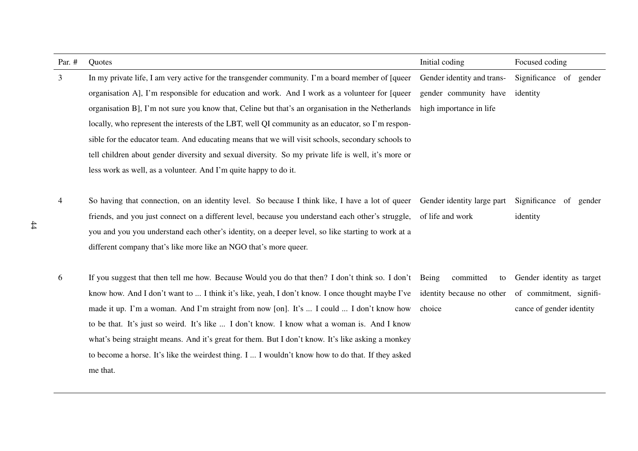| Par. $#$ | Quotes                                                                                                                     | Initial coding             | Focused coding            |
|----------|----------------------------------------------------------------------------------------------------------------------------|----------------------------|---------------------------|
| 3        | In my private life, I am very active for the transgender community. I'm a board member of [queer]                          | Gender identity and trans- | Significance of gender    |
|          | organisation A, I'm responsible for education and work. And I work as a volunteer for [queer                               | gender community have      | identity                  |
|          | organisation B], I'm not sure you know that, Celine but that's an organisation in the Netherlands                          | high importance in life    |                           |
|          | locally, who represent the interests of the LBT, well QI community as an educator, so I'm respon-                          |                            |                           |
|          | sible for the educator team. And educating means that we will visit schools, secondary schools to                          |                            |                           |
|          | tell children about gender diversity and sexual diversity. So my private life is well, it's more or                        |                            |                           |
|          | less work as well, as a volunteer. And I'm quite happy to do it.                                                           |                            |                           |
|          |                                                                                                                            |                            |                           |
| 4        | So having that connection, on an identity level. So because I think like, I have a lot of queer Gender identity large part |                            | Significance of gender    |
|          | friends, and you just connect on a different level, because you understand each other's struggle, of life and work         |                            | identity                  |
|          | you and you you understand each other's identity, on a deeper level, so like starting to work at a                         |                            |                           |
|          | different company that's like more like an NGO that's more queer.                                                          |                            |                           |
|          |                                                                                                                            |                            |                           |
| 6        | If you suggest that then tell me how. Because Would you do that then? I don't think so. I don't Being                      | committed<br>to            | Gender identity as target |
|          | know how. And I don't want to  I think it's like, yeah, I don't know. I once thought maybe I've                            | identity because no other  | of commitment, signifi-   |
|          | made it up. I'm a woman. And I'm straight from now [on]. It's  I could  I don't know how                                   | choice                     | cance of gender identity  |
|          | to be that. It's just so weird. It's like  I don't know. I know what a woman is. And I know                                |                            |                           |
|          | what's being straight means. And it's great for them. But I don't know. It's like asking a monkey                          |                            |                           |
|          | to become a horse. It's like the weirdest thing. I  I wouldn't know how to do that. If they asked                          |                            |                           |
|          | me that.                                                                                                                   |                            |                           |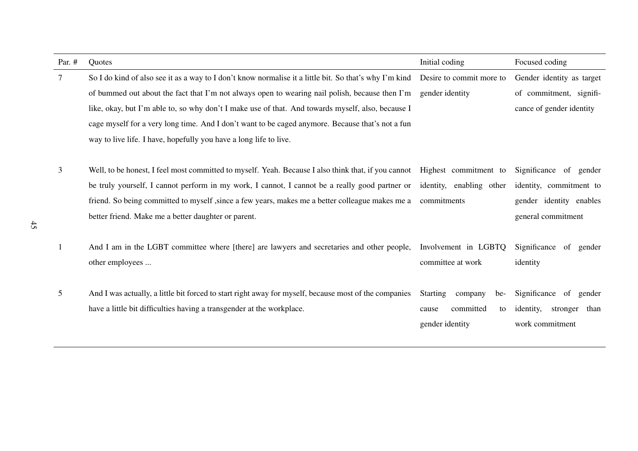| Par. $#$ | Quotes                                                                                                                    | Initial coding                    | Focused coding                |
|----------|---------------------------------------------------------------------------------------------------------------------------|-----------------------------------|-------------------------------|
| 7        | So I do kind of also see it as a way to I don't know normalise it a little bit. So that's why I'm kind                    | Desire to commit more to          | Gender identity as target     |
|          | of bummed out about the fact that I'm not always open to wearing nail polish, because then I'm                            | gender identity                   | of commitment, signifi-       |
|          | like, okay, but I'm able to, so why don't I make use of that. And towards myself, also, because I                         |                                   | cance of gender identity      |
|          | cage myself for a very long time. And I don't want to be caged anymore. Because that's not a fun                          |                                   |                               |
|          | way to live life. I have, hopefully you have a long life to live.                                                         |                                   |                               |
|          |                                                                                                                           |                                   |                               |
| 3        | Well, to be honest, I feel most committed to myself. Yeah. Because I also think that, if you cannot Highest commitment to |                                   | Significance of gender        |
|          | be truly yourself, I cannot perform in my work, I cannot, I cannot be a really good partner or                            | identity, enabling other          | identity, commitment to       |
|          | friend. So being committed to myself, since a few years, makes me a better colleague makes me a                           | commitments                       | gender identity enables       |
|          | better friend. Make me a better daughter or parent.                                                                       |                                   | general commitment            |
|          |                                                                                                                           |                                   |                               |
| 1        | And I am in the LGBT committee where [there] are lawyers and secretaries and other people,                                | Involvement in LGBTQ              | Significance of gender        |
|          | other employees                                                                                                           | committee at work                 | identity                      |
|          |                                                                                                                           |                                   |                               |
| 5        | And I was actually, a little bit forced to start right away for myself, because most of the companies                     | <b>Starting</b><br>company<br>be- | Significance of gender        |
|          | have a little bit difficulties having a transgender at the workplace.                                                     | committed<br>cause<br>to          | identity,<br>stronger<br>than |
|          |                                                                                                                           | gender identity                   | work commitment               |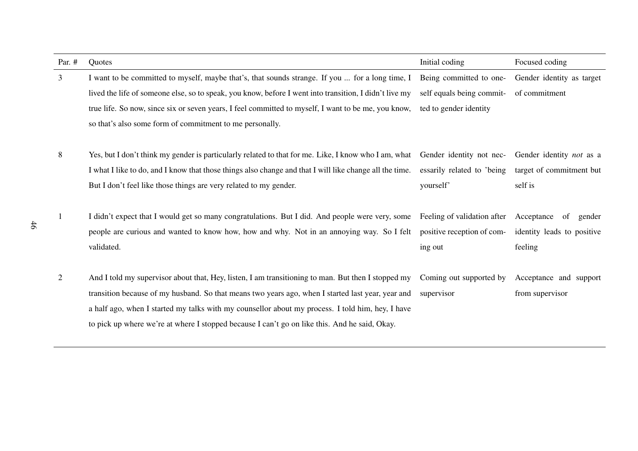| Par. #         | Quotes                                                                                                                                                                                                                                                                                                                                                                                                       | Initial coding                                                                  | Focused coding                                                         |
|----------------|--------------------------------------------------------------------------------------------------------------------------------------------------------------------------------------------------------------------------------------------------------------------------------------------------------------------------------------------------------------------------------------------------------------|---------------------------------------------------------------------------------|------------------------------------------------------------------------|
| $\mathfrak{Z}$ | I want to be committed to myself, maybe that's, that sounds strange. If you  for a long time, I                                                                                                                                                                                                                                                                                                              | Being committed to one-                                                         | Gender identity as target                                              |
|                | lived the life of someone else, so to speak, you know, before I went into transition, I didn't live my                                                                                                                                                                                                                                                                                                       | self equals being commit-                                                       | of commitment                                                          |
|                | true life. So now, since six or seven years, I feel committed to myself, I want to be me, you know,                                                                                                                                                                                                                                                                                                          | ted to gender identity                                                          |                                                                        |
|                | so that's also some form of commitment to me personally.                                                                                                                                                                                                                                                                                                                                                     |                                                                                 |                                                                        |
| 8              | Yes, but I don't think my gender is particularly related to that for me. Like, I know who I am, what<br>I what I like to do, and I know that those things also change and that I will like change all the time.<br>But I don't feel like those things are very related to my gender.                                                                                                                         | Gender identity not nec-<br>essarily related to 'being'<br>yourself'            | Gender identity <i>not</i> as a<br>target of commitment but<br>self is |
| -1             | I didn't expect that I would get so many congratulations. But I did. And people were very, some<br>people are curious and wanted to know how, how and why. Not in an annoying way. So I felt<br>validated.                                                                                                                                                                                                   | Feeling of validation after Acceptance<br>positive reception of com-<br>ing out | of<br>gender<br>identity leads to positive<br>feeling                  |
| 2              | And I told my supervisor about that, Hey, listen, I am transitioning to man. But then I stopped my<br>transition because of my husband. So that means two years ago, when I started last year, year and<br>a half ago, when I started my talks with my counsellor about my process. I told him, hey, I have<br>to pick up where we're at where I stopped because I can't go on like this. And he said, Okay. | supervisor                                                                      | Coming out supported by Acceptance and support<br>from supervisor      |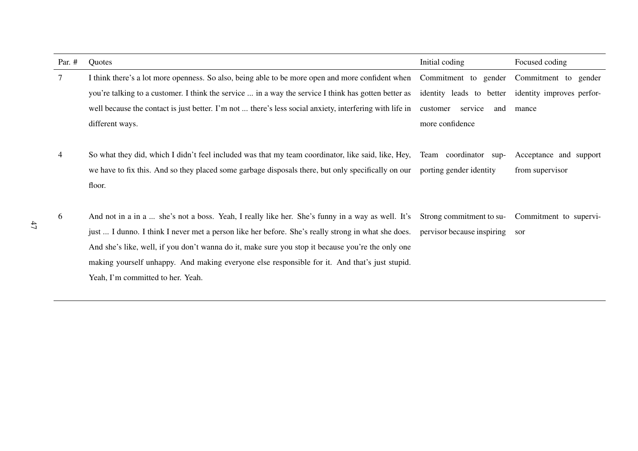| Par. $#$        | Quotes                                                                                                                     | Initial coding             | Focused coding                                     |
|-----------------|----------------------------------------------------------------------------------------------------------------------------|----------------------------|----------------------------------------------------|
| $7\phantom{.0}$ | I think there's a lot more openness. So also, being able to be more open and more confident when                           |                            | Commitment to gender Commitment to gender          |
|                 | you're talking to a customer. I think the service  in a way the service I think has gotten better as                       |                            | identity leads to better identity improves perfor- |
|                 | well because the contact is just better. I'm not  there's less social anxiety, interfering with life in                    | customer<br>service<br>and | mance                                              |
|                 | different ways.                                                                                                            | more confidence            |                                                    |
|                 |                                                                                                                            |                            |                                                    |
| 4               | So what they did, which I didn't feel included was that my team coordinator, like said, like, Hey, Team coordinator sup-   |                            | Acceptance and support                             |
|                 | we have to fix this. And so they placed some garbage disposals there, but only specifically on our porting gender identity |                            | from supervisor                                    |
|                 | floor.                                                                                                                     |                            |                                                    |
|                 |                                                                                                                            |                            |                                                    |
| 6               | And not in a in a  she's not a boss. Yeah, I really like her. She's funny in a way as well. It's                           | Strong commitment to su-   | Commitment to supervi-                             |
|                 | just  I dunno. I think I never met a person like her before. She's really strong in what she does.                         | pervisor because inspiring | sor                                                |
|                 | And she's like, well, if you don't wanna do it, make sure you stop it because you're the only one                          |                            |                                                    |
|                 | making yourself unhappy. And making everyone else responsible for it. And that's just stupid.                              |                            |                                                    |
|                 | Yeah, I'm committed to her. Yeah.                                                                                          |                            |                                                    |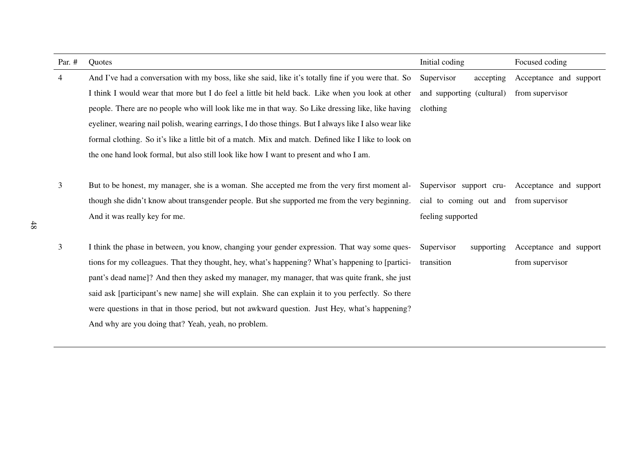| Par. $#$ | Quotes                                                                                                 | Initial coding            | Focused coding                                    |
|----------|--------------------------------------------------------------------------------------------------------|---------------------------|---------------------------------------------------|
| 4        | And I've had a conversation with my boss, like she said, like it's totally fine if you were that. So   | Supervisor<br>accepting   | Acceptance and support                            |
|          | I think I would wear that more but I do feel a little bit held back. Like when you look at other       | and supporting (cultural) | from supervisor                                   |
|          | people. There are no people who will look like me in that way. So Like dressing like, like having      | clothing                  |                                                   |
|          | eyeliner, wearing nail polish, wearing earrings, I do those things. But I always like I also wear like |                           |                                                   |
|          | formal clothing. So it's like a little bit of a match. Mix and match. Defined like I like to look on   |                           |                                                   |
|          | the one hand look formal, but also still look like how I want to present and who I am.                 |                           |                                                   |
|          |                                                                                                        |                           |                                                   |
| 3        | But to be honest, my manager, she is a woman. She accepted me from the very first moment al-           |                           | Supervisor support cru-<br>Acceptance and support |
|          | though she didn't know about transgender people. But she supported me from the very beginning.         | cial to coming out and    | from supervisor                                   |
|          | And it was really key for me.                                                                          | feeling supported         |                                                   |
|          |                                                                                                        |                           |                                                   |
| 3        | I think the phase in between, you know, changing your gender expression. That way some ques-           | Supervisor<br>supporting  | Acceptance and support                            |
|          | tions for my colleagues. That they thought, hey, what's happening? What's happening to [partici-       | transition                | from supervisor                                   |
|          | pant's dead name]? And then they asked my manager, my manager, that was quite frank, she just          |                           |                                                   |
|          | said ask [participant's new name] she will explain. She can explain it to you perfectly. So there      |                           |                                                   |
|          | were questions in that in those period, but not awkward question. Just Hey, what's happening?          |                           |                                                   |
|          | And why are you doing that? Yeah, yeah, no problem.                                                    |                           |                                                   |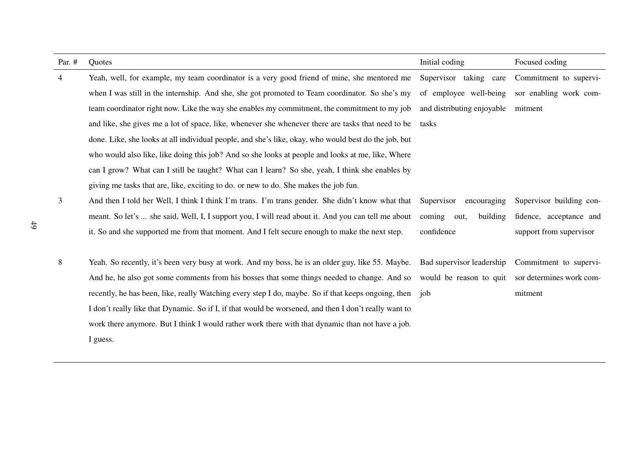| Par. #         | Quotes                                                                                                  | Initial coding             | Focused coding                                   |
|----------------|---------------------------------------------------------------------------------------------------------|----------------------------|--------------------------------------------------|
| $\overline{4}$ | Yeah, well, for example, my team coordinator is a very good friend of mine, she mentored me             | Supervisor taking care     | Commitment to supervi-                           |
|                | when I was still in the internship. And she, she got promoted to Team coordinator. So she's my          | of employee well-being     | sor enabling work com-                           |
|                | team coordinator right now. Like the way she enables my commitment, the commitment to my job            | and distributing enjoyable | mitment                                          |
|                | and like, she gives me a lot of space, like, whenever she whenever there are tasks that need to be      | tasks                      |                                                  |
|                | done. Like, she looks at all individual people, and she's like, okay, who would best do the job, but    |                            |                                                  |
|                | who would also like, like doing this job? And so she looks at people and looks at me, like, Where       |                            |                                                  |
|                | can I grow? What can I still be taught? What can I learn? So she, yeah, I think she enables by          |                            |                                                  |
|                | giving me tasks that are, like, exciting to do. or new to do. She makes the job fun.                    |                            |                                                  |
| 3              | And then I told her Well, I think I think I'm trans. I'm trans gender. She didn't know what that        | Supervisor<br>encouraging  | Supervisor building con-                         |
|                | meant. So let's  she said, Well, I, I support you, I will read about it. And you can tell me about      | coming<br>building<br>out, | fidence, acceptance and                          |
|                | it. So and she supported me from that moment. And I felt secure enough to make the next step.           | confidence                 | support from supervisor                          |
|                |                                                                                                         |                            |                                                  |
| 8              | Yeah. So recently, it's been very busy at work. And my boss, he is an older guy, like 55. Maybe.        | Bad supervisor leadership  | Commitment to supervi-                           |
|                | And he, he also got some comments from his bosses that some things needed to change. And so             |                            | would be reason to quit sor determines work com- |
|                | recently, he has been, like, really Watching every step I do, maybe. So if that keeps ongoing, then job |                            | mitment                                          |
|                | I don't really like that Dynamic. So if I, if that would be worsened, and then I don't really want to   |                            |                                                  |
|                | work there anymore. But I think I would rather work there with that dynamic than not have a job.        |                            |                                                  |
|                | I guess.                                                                                                |                            |                                                  |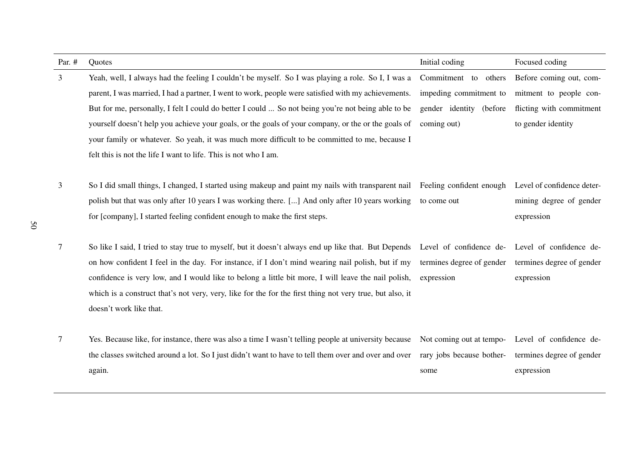| Par. # | Quotes                                                                                                                                             | Initial coding            | Focused coding             |
|--------|----------------------------------------------------------------------------------------------------------------------------------------------------|---------------------------|----------------------------|
| 3      | Yeah, well, I always had the feeling I couldn't be myself. So I was playing a role. So I, I was a                                                  | Commitment to others      | Before coming out, com-    |
|        | parent, I was married, I had a partner, I went to work, people were satisfied with my achievements.                                                | impeding commitment to    | mitment to people con-     |
|        | But for me, personally, I felt I could do better I could  So not being you're not being able to be                                                 | gender identity (before   | flicting with commitment   |
|        | yourself doesn't help you achieve your goals, or the goals of your company, or the or the goals of                                                 | coming out)               | to gender identity         |
|        | your family or whatever. So yeah, it was much more difficult to be committed to me, because I                                                      |                           |                            |
|        | felt this is not the life I want to life. This is not who I am.                                                                                    |                           |                            |
|        |                                                                                                                                                    |                           |                            |
| 3      | So I did small things, I changed, I started using makeup and paint my nails with transparent nail Feeling confident enough                         |                           | Level of confidence deter- |
|        | polish but that was only after 10 years I was working there. [] And only after 10 years working                                                    | to come out               | mining degree of gender    |
|        | for [company], I started feeling confident enough to make the first steps.                                                                         |                           | expression                 |
|        |                                                                                                                                                    |                           |                            |
| 7      | So like I said, I tried to stay true to myself, but it doesn't always end up like that. But Depends Level of confidence de-Level of confidence de- |                           |                            |
|        | on how confident I feel in the day. For instance, if I don't mind wearing nail polish, but if my                                                   | termines degree of gender | termines degree of gender  |
|        | confidence is very low, and I would like to belong a little bit more, I will leave the nail polish,                                                | expression                | expression                 |
|        | which is a construct that's not very, very, like for the for the first thing not very true, but also, it                                           |                           |                            |
|        | doesn't work like that.                                                                                                                            |                           |                            |
|        |                                                                                                                                                    |                           |                            |
| 7      | Yes. Because like, for instance, there was also a time I wasn't telling people at university because                                               | Not coming out at tempo-  | Level of confidence de-    |
|        | the classes switched around a lot. So I just didn't want to have to tell them over and over and over                                               | rary jobs because bother- | termines degree of gender  |
|        | again.                                                                                                                                             | some                      | expression                 |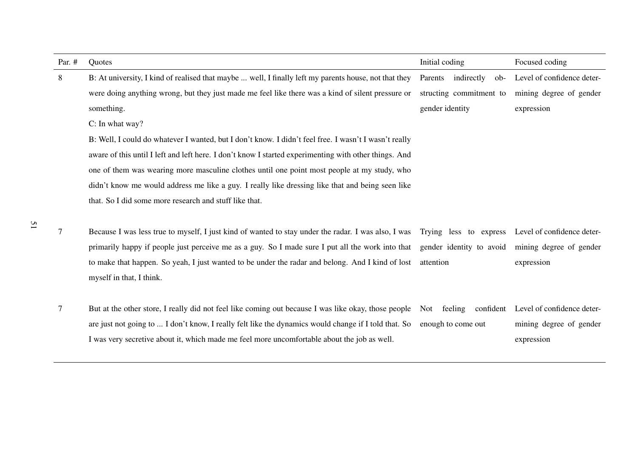| Par. $#$ | Quotes                                                                                                                  | Initial coding                                    | Focused coding                                   |
|----------|-------------------------------------------------------------------------------------------------------------------------|---------------------------------------------------|--------------------------------------------------|
| 8        | B: At university, I kind of realised that maybe  well, I finally left my parents house, not that they                   | Parents indirectly ob-                            | Level of confidence deter-                       |
|          | were doing anything wrong, but they just made me feel like there was a kind of silent pressure or                       | structing commitment to                           | mining degree of gender                          |
|          | something.                                                                                                              | gender identity                                   | expression                                       |
|          | C: In what way?                                                                                                         |                                                   |                                                  |
|          | B: Well, I could do whatever I wanted, but I don't know. I didn't feel free. I wasn't I wasn't really                   |                                                   |                                                  |
|          | aware of this until I left and left here. I don't know I started experimenting with other things. And                   |                                                   |                                                  |
|          | one of them was wearing more masculine clothes until one point most people at my study, who                             |                                                   |                                                  |
|          | didn't know me would address me like a guy. I really like dressing like that and being seen like                        |                                                   |                                                  |
|          | that. So I did some more research and stuff like that.                                                                  |                                                   |                                                  |
|          |                                                                                                                         |                                                   |                                                  |
| 7        | Because I was less true to myself, I just kind of wanted to stay under the radar. I was also, I was                     | Trying less to express Level of confidence deter- |                                                  |
|          | primarily happy if people just perceive me as a guy. So I made sure I put all the work into that                        |                                                   | gender identity to avoid mining degree of gender |
|          | to make that happen. So yeah, I just wanted to be under the radar and belong. And I kind of lost                        | attention                                         | expression                                       |
|          | myself in that, I think.                                                                                                |                                                   |                                                  |
|          |                                                                                                                         |                                                   |                                                  |
| 7        | But at the other store, I really did not feel like coming out because I was like okay, those people Not feeling         |                                                   | confident Level of confidence deter-             |
|          | are just not going to  I don't know, I really felt like the dynamics would change if I told that. So enough to come out |                                                   | mining degree of gender                          |
|          | I was very secretive about it, which made me feel more uncomfortable about the job as well.                             |                                                   | expression                                       |

51